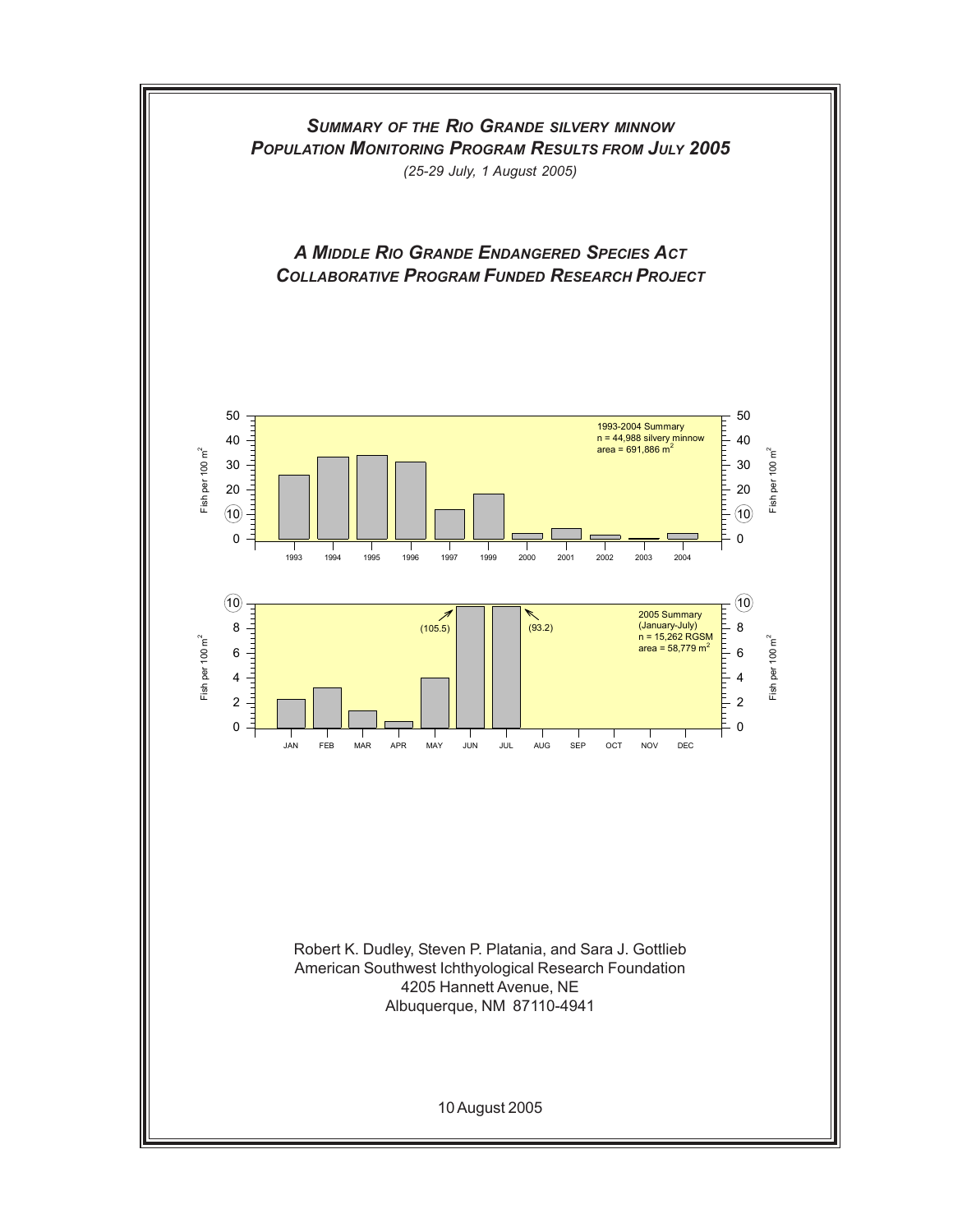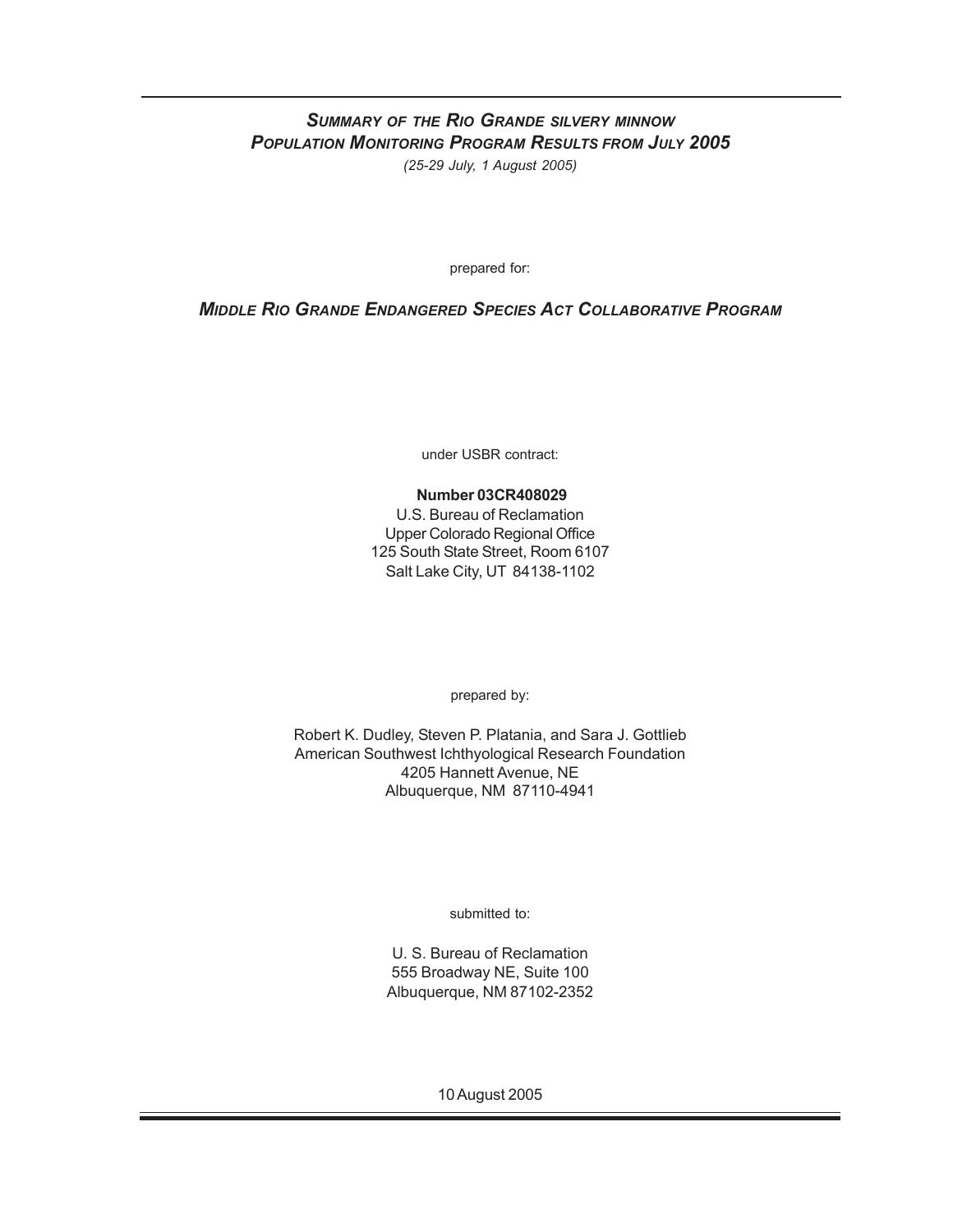## *SUMMARY OF THE RIO GRANDE SILVERY MINNOW POPULATION MONITORING PROGRAM RESULTS FROM JULY 2005 (25-29 July, 1 August 2005)*

prepared for:

## *MIDDLE RIO GRANDE ENDANGERED SPECIES ACT COLLABORATIVE PROGRAM*

under USBR contract:

## **Number 03CR408029**

U.S. Bureau of Reclamation Upper Colorado Regional Office 125 South State Street, Room 6107 Salt Lake City, UT 84138-1102

prepared by:

Robert K. Dudley, Steven P. Platania, and Sara J. Gottlieb American Southwest Ichthyological Research Foundation 4205 Hannett Avenue, NE Albuquerque, NM 87110-4941

submitted to:

U. S. Bureau of Reclamation 555 Broadway NE, Suite 100 Albuquerque, NM 87102-2352

10 August 2005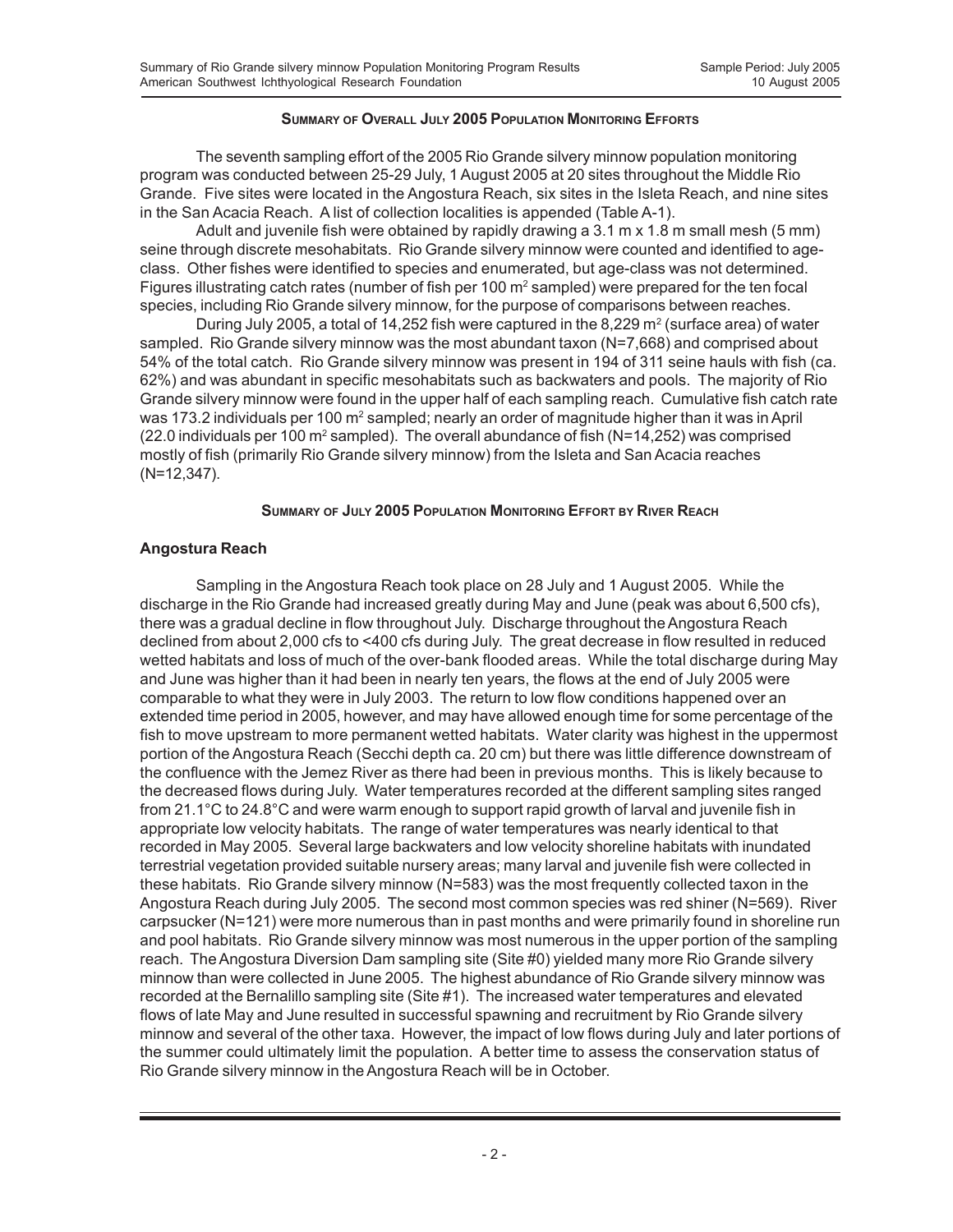## **SUMMARY OF OVERALL JULY 2005 POPULATION MONITORING EFFORTS**

The seventh sampling effort of the 2005 Rio Grande silvery minnow population monitoring program was conducted between 25-29 July, 1 August 2005 at 20 sites throughout the Middle Rio Grande. Five sites were located in the Angostura Reach, six sites in the Isleta Reach, and nine sites in the San Acacia Reach. A list of collection localities is appended (Table A-1).

Adult and juvenile fish were obtained by rapidly drawing a 3.1 m x 1.8 m small mesh (5 mm) seine through discrete mesohabitats. Rio Grande silvery minnow were counted and identified to ageclass. Other fishes were identified to species and enumerated, but age-class was not determined. Figures illustrating catch rates (number of fish per 100 m<sup>2</sup> sampled) were prepared for the ten focal species, including Rio Grande silvery minnow, for the purpose of comparisons between reaches.

During July 2005, a total of 14,252 fish were captured in the 8,229  $m^2$  (surface area) of water sampled. Rio Grande silvery minnow was the most abundant taxon (N=7,668) and comprised about 54% of the total catch. Rio Grande silvery minnow was present in 194 of 311 seine hauls with fish (ca. 62%) and was abundant in specific mesohabitats such as backwaters and pools. The majority of Rio Grande silvery minnow were found in the upper half of each sampling reach. Cumulative fish catch rate was 173.2 individuals per 100 m<sup>2</sup> sampled; nearly an order of magnitude higher than it was in April (22.0 individuals per 100 m<sup>2</sup> sampled). The overall abundance of fish (N=14,252) was comprised mostly of fish (primarily Rio Grande silvery minnow) from the Isleta and San Acacia reaches (N=12,347).

#### **SUMMARY OF JULY 2005 POPULATION MONITORING EFFORT BY RIVER REACH**

#### **Angostura Reach**

Sampling in the Angostura Reach took place on 28 July and 1 August 2005. While the discharge in the Rio Grande had increased greatly during May and June (peak was about 6,500 cfs), there was a gradual decline in flow throughout July. Discharge throughout the Angostura Reach declined from about 2,000 cfs to <400 cfs during July. The great decrease in flow resulted in reduced wetted habitats and loss of much of the over-bank flooded areas. While the total discharge during May and June was higher than it had been in nearly ten years, the flows at the end of July 2005 were comparable to what they were in July 2003. The return to low flow conditions happened over an extended time period in 2005, however, and may have allowed enough time for some percentage of the fish to move upstream to more permanent wetted habitats. Water clarity was highest in the uppermost portion of the Angostura Reach (Secchi depth ca. 20 cm) but there was little difference downstream of the confluence with the Jemez River as there had been in previous months. This is likely because to the decreased flows during July. Water temperatures recorded at the different sampling sites ranged from 21.1°C to 24.8°C and were warm enough to support rapid growth of larval and juvenile fish in appropriate low velocity habitats. The range of water temperatures was nearly identical to that recorded in May 2005. Several large backwaters and low velocity shoreline habitats with inundated terrestrial vegetation provided suitable nursery areas; many larval and juvenile fish were collected in these habitats. Rio Grande silvery minnow (N=583) was the most frequently collected taxon in the Angostura Reach during July 2005. The second most common species was red shiner (N=569). River carpsucker (N=121) were more numerous than in past months and were primarily found in shoreline run and pool habitats. Rio Grande silvery minnow was most numerous in the upper portion of the sampling reach. The Angostura Diversion Dam sampling site (Site #0) yielded many more Rio Grande silvery minnow than were collected in June 2005. The highest abundance of Rio Grande silvery minnow was recorded at the Bernalillo sampling site (Site #1). The increased water temperatures and elevated flows of late May and June resulted in successful spawning and recruitment by Rio Grande silvery minnow and several of the other taxa. However, the impact of low flows during July and later portions of the summer could ultimately limit the population. A better time to assess the conservation status of Rio Grande silvery minnow in the Angostura Reach will be in October.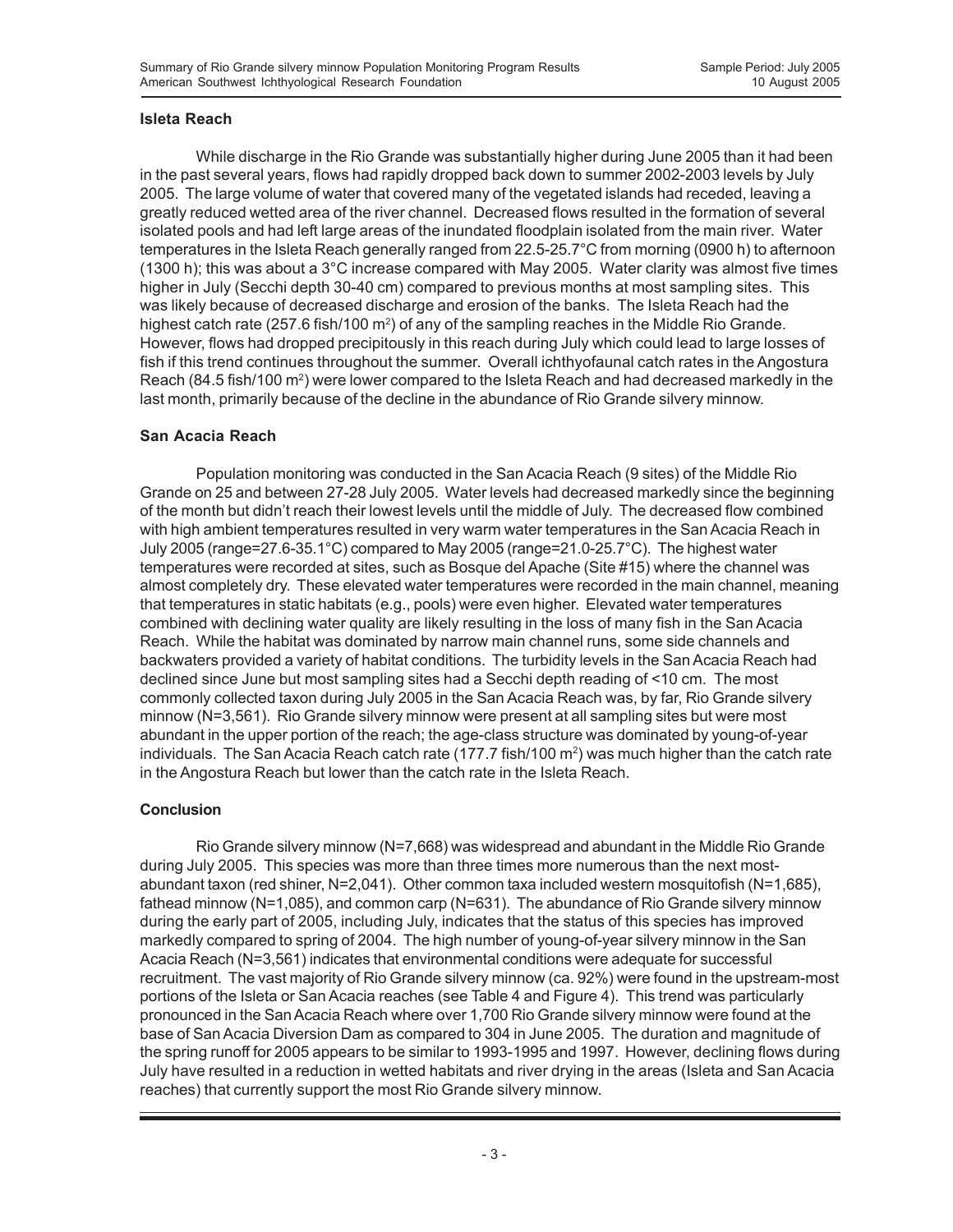## **Isleta Reach**

While discharge in the Rio Grande was substantially higher during June 2005 than it had been in the past several years, flows had rapidly dropped back down to summer 2002-2003 levels by July 2005. The large volume of water that covered many of the vegetated islands had receded, leaving a greatly reduced wetted area of the river channel. Decreased flows resulted in the formation of several isolated pools and had left large areas of the inundated floodplain isolated from the main river. Water temperatures in the Isleta Reach generally ranged from 22.5-25.7°C from morning (0900 h) to afternoon (1300 h); this was about a 3°C increase compared with May 2005. Water clarity was almost five times higher in July (Secchi depth 30-40 cm) compared to previous months at most sampling sites. This was likely because of decreased discharge and erosion of the banks. The Isleta Reach had the highest catch rate (257.6 fish/100 m<sup>2</sup>) of any of the sampling reaches in the Middle Rio Grande. However, flows had dropped precipitously in this reach during July which could lead to large losses of fish if this trend continues throughout the summer. Overall ichthyofaunal catch rates in the Angostura Reach (84.5 fish/100 m<sup>2</sup>) were lower compared to the Isleta Reach and had decreased markedly in the last month, primarily because of the decline in the abundance of Rio Grande silvery minnow.

## **San Acacia Reach**

Population monitoring was conducted in the San Acacia Reach (9 sites) of the Middle Rio Grande on 25 and between 27-28 July 2005. Water levels had decreased markedly since the beginning of the month but didn't reach their lowest levels until the middle of July. The decreased flow combined with high ambient temperatures resulted in very warm water temperatures in the San Acacia Reach in July 2005 (range=27.6-35.1°C) compared to May 2005 (range=21.0-25.7°C). The highest water temperatures were recorded at sites, such as Bosque del Apache (Site #15) where the channel was almost completely dry. These elevated water temperatures were recorded in the main channel, meaning that temperatures in static habitats (e.g., pools) were even higher. Elevated water temperatures combined with declining water quality are likely resulting in the loss of many fish in the San Acacia Reach. While the habitat was dominated by narrow main channel runs, some side channels and backwaters provided a variety of habitat conditions. The turbidity levels in the San Acacia Reach had declined since June but most sampling sites had a Secchi depth reading of <10 cm. The most commonly collected taxon during July 2005 in the San Acacia Reach was, by far, Rio Grande silvery minnow (N=3,561). Rio Grande silvery minnow were present at all sampling sites but were most abundant in the upper portion of the reach; the age-class structure was dominated by young-of-year individuals. The San Acacia Reach catch rate (177.7 fish/100 m²) was much higher than the catch rate in the Angostura Reach but lower than the catch rate in the Isleta Reach.

## **Conclusion**

Rio Grande silvery minnow (N=7,668) was widespread and abundant in the Middle Rio Grande during July 2005. This species was more than three times more numerous than the next mostabundant taxon (red shiner, N=2,041). Other common taxa included western mosquitofish (N=1,685), fathead minnow (N=1,085), and common carp (N=631). The abundance of Rio Grande silvery minnow during the early part of 2005, including July, indicates that the status of this species has improved markedly compared to spring of 2004. The high number of young-of-year silvery minnow in the San Acacia Reach (N=3,561) indicates that environmental conditions were adequate for successful recruitment. The vast majority of Rio Grande silvery minnow (ca. 92%) were found in the upstream-most portions of the Isleta or San Acacia reaches (see Table 4 and Figure 4). This trend was particularly pronounced in the San Acacia Reach where over 1,700 Rio Grande silvery minnow were found at the base of San Acacia Diversion Dam as compared to 304 in June 2005. The duration and magnitude of the spring runoff for 2005 appears to be similar to 1993-1995 and 1997. However, declining flows during July have resulted in a reduction in wetted habitats and river drying in the areas (Isleta and San Acacia reaches) that currently support the most Rio Grande silvery minnow.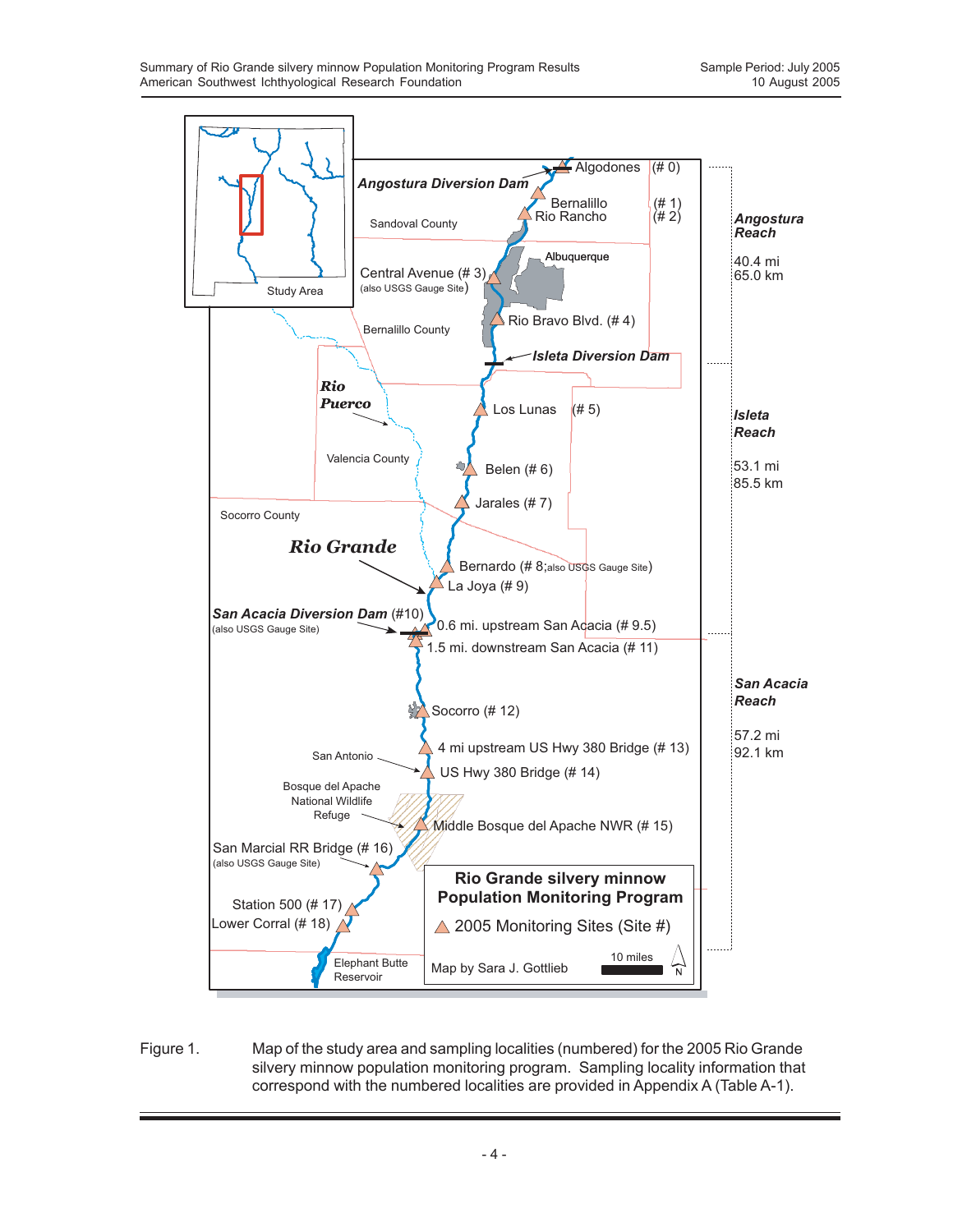

Figure 1. Map of the study area and sampling localities (numbered) for the 2005 Rio Grande silvery minnow population monitoring program. Sampling locality information that correspond with the numbered localities are provided in Appendix A (Table A-1).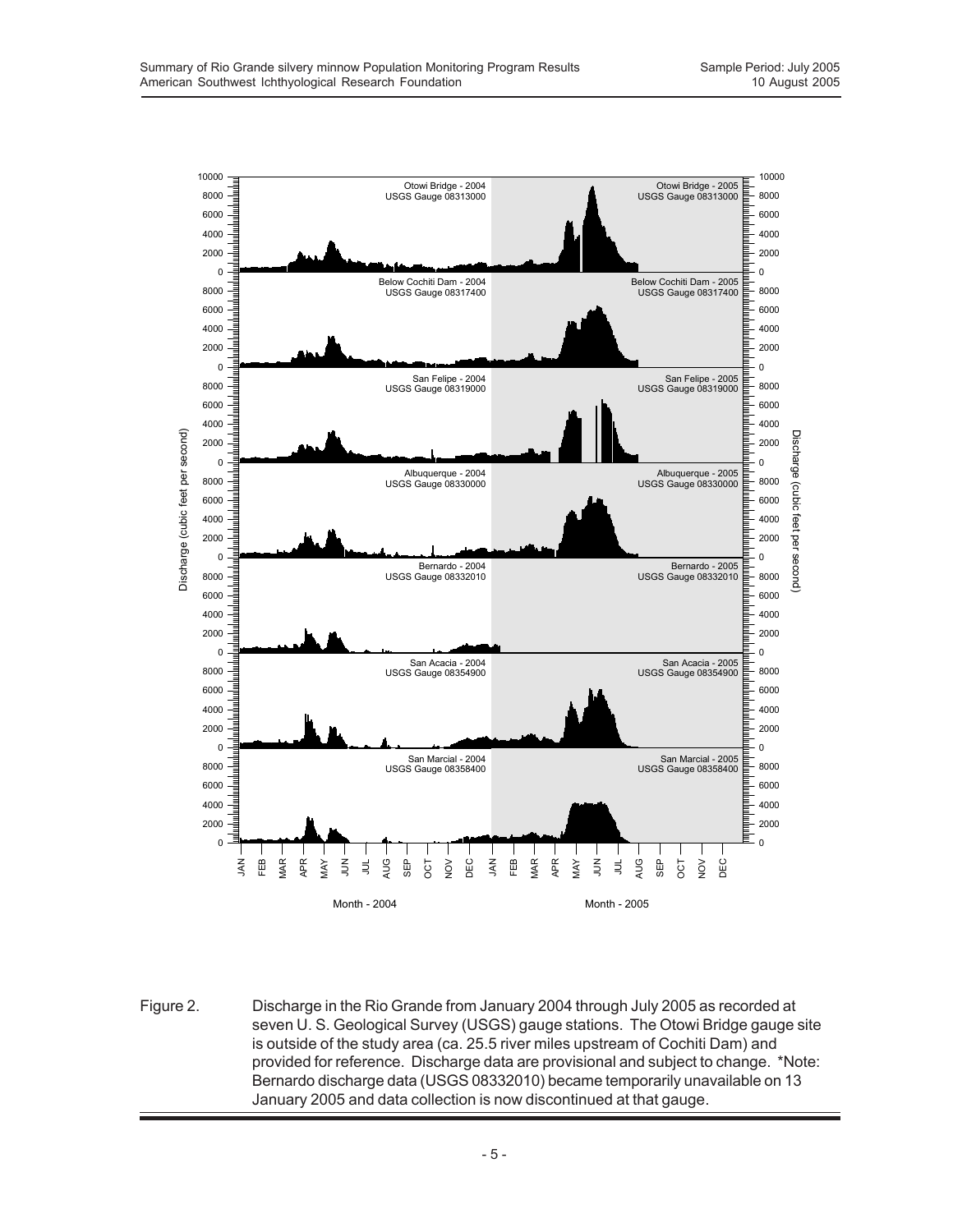

Figure 2. Discharge in the Rio Grande from January 2004 through July 2005 as recorded at seven U. S. Geological Survey (USGS) gauge stations. The Otowi Bridge gauge site is outside of the study area (ca. 25.5 river miles upstream of Cochiti Dam) and provided for reference. Discharge data are provisional and subject to change. \*Note: Bernardo discharge data (USGS 08332010) became temporarily unavailable on 13 January 2005 and data collection is now discontinued at that gauge.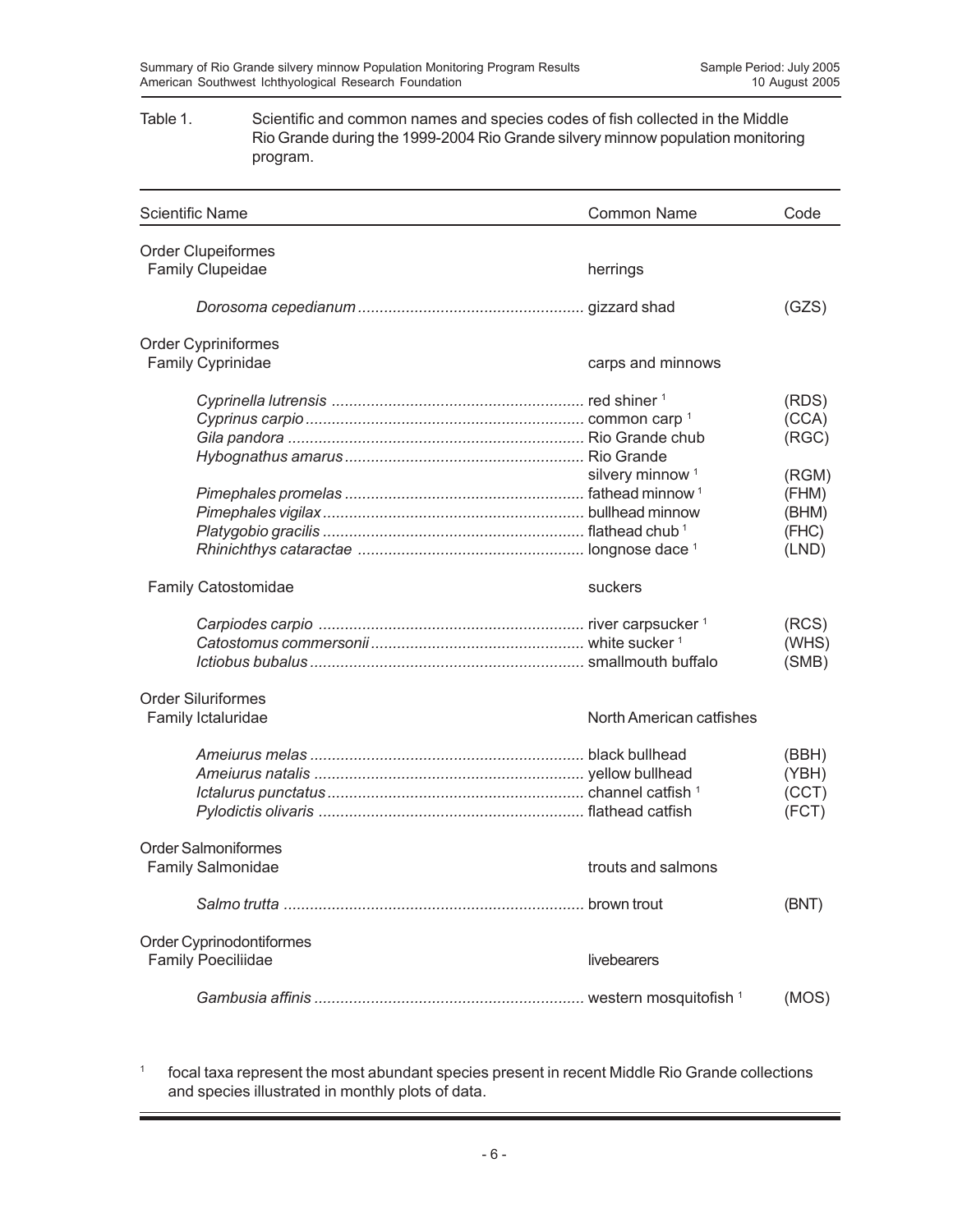## Table 1. Scientific and common names and species codes of fish collected in the Middle Rio Grande during the 1999-2004 Rio Grande silvery minnow population monitoring program.

| <b>Scientific Name</b>     | <b>Common Name</b>          | Code  |
|----------------------------|-----------------------------|-------|
| <b>Order Clupeiformes</b>  |                             |       |
| Family Clupeidae           | herrings                    |       |
|                            |                             | (GZS) |
| <b>Order Cypriniformes</b> |                             |       |
| <b>Family Cyprinidae</b>   | carps and minnows           |       |
|                            |                             | (RDS) |
|                            |                             | (CCA) |
|                            |                             | (RGC) |
|                            |                             |       |
|                            | silvery minnow <sup>1</sup> | (RGM) |
|                            |                             | (FHM) |
|                            |                             | (BHM) |
|                            |                             | (FHC) |
|                            |                             | (LND) |
| <b>Family Catostomidae</b> | suckers                     |       |
|                            |                             | (RCS) |
|                            |                             | (WHS) |
|                            |                             | (SMB) |
| <b>Order Siluriformes</b>  |                             |       |
| Family Ictaluridae         | North American catfishes    |       |
|                            |                             | (BBH) |
|                            |                             | (YBH) |
|                            |                             | (CCT) |
|                            |                             | (FCT) |
| <b>Order Salmoniformes</b> |                             |       |
| <b>Family Salmonidae</b>   | trouts and salmons          |       |
|                            |                             | (BNT) |
| Order Cyprinodontiformes   |                             |       |
| <b>Family Poeciliidae</b>  | livebearers                 |       |
|                            |                             | (MOS) |

<sup>1</sup> focal taxa represent the most abundant species present in recent Middle Rio Grande collections and species illustrated in monthly plots of data.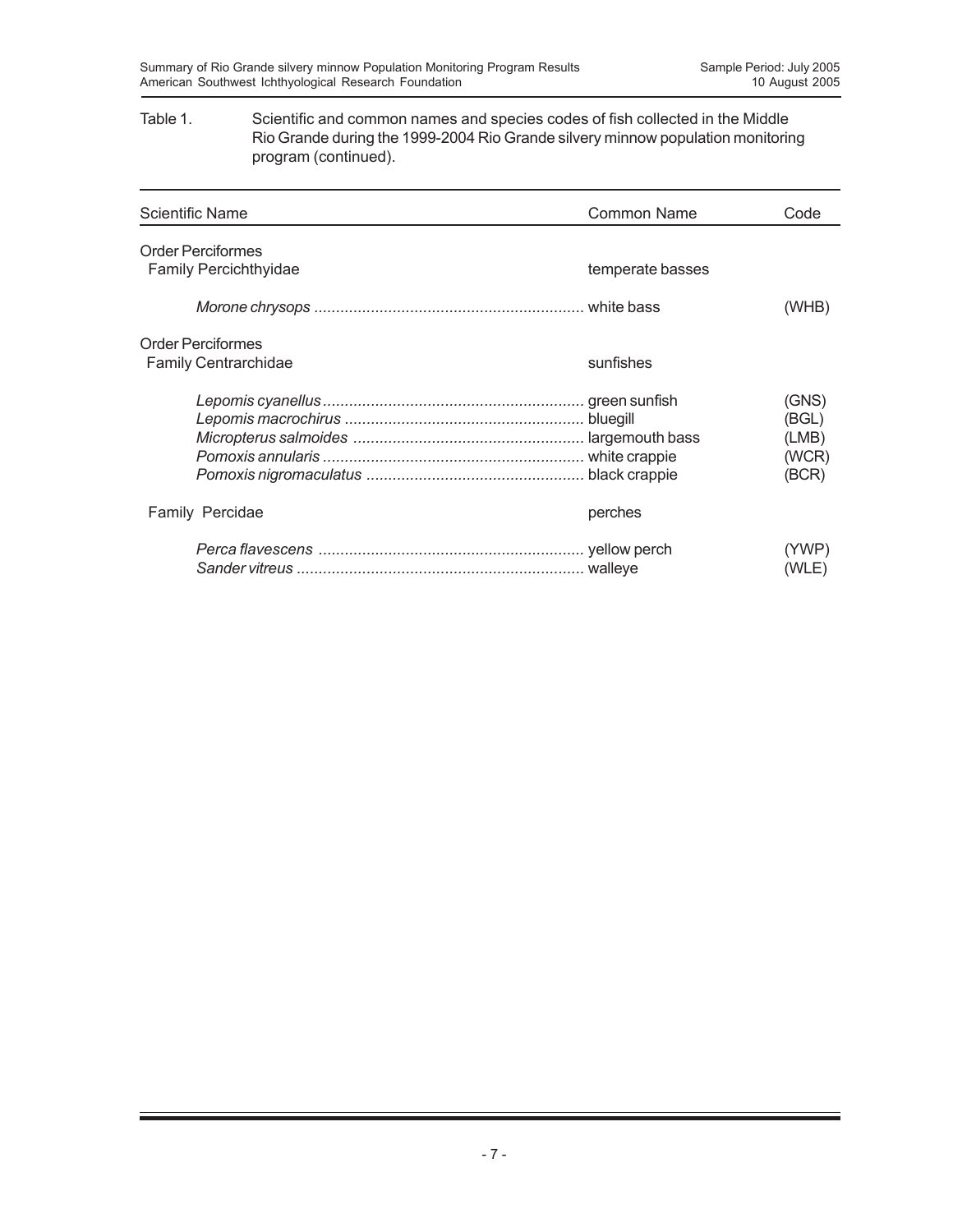## Table 1. Scientific and common names and species codes of fish collected in the Middle Rio Grande during the 1999-2004 Rio Grande silvery minnow population monitoring program (continued).

| <b>Scientific Name</b>                                   | <b>Common Name</b> | Code                                      |
|----------------------------------------------------------|--------------------|-------------------------------------------|
| <b>Order Perciformes</b><br><b>Family Percichthyidae</b> | temperate basses   |                                           |
|                                                          |                    | (WHB)                                     |
| <b>Order Perciformes</b><br><b>Family Centrarchidae</b>  | sunfishes          |                                           |
|                                                          |                    | (GNS)<br>(BGL)<br>(LMB)<br>(WCR)<br>(BCR) |
| Family Percidae                                          | perches            |                                           |
|                                                          |                    | (YWP)<br>(WLE)                            |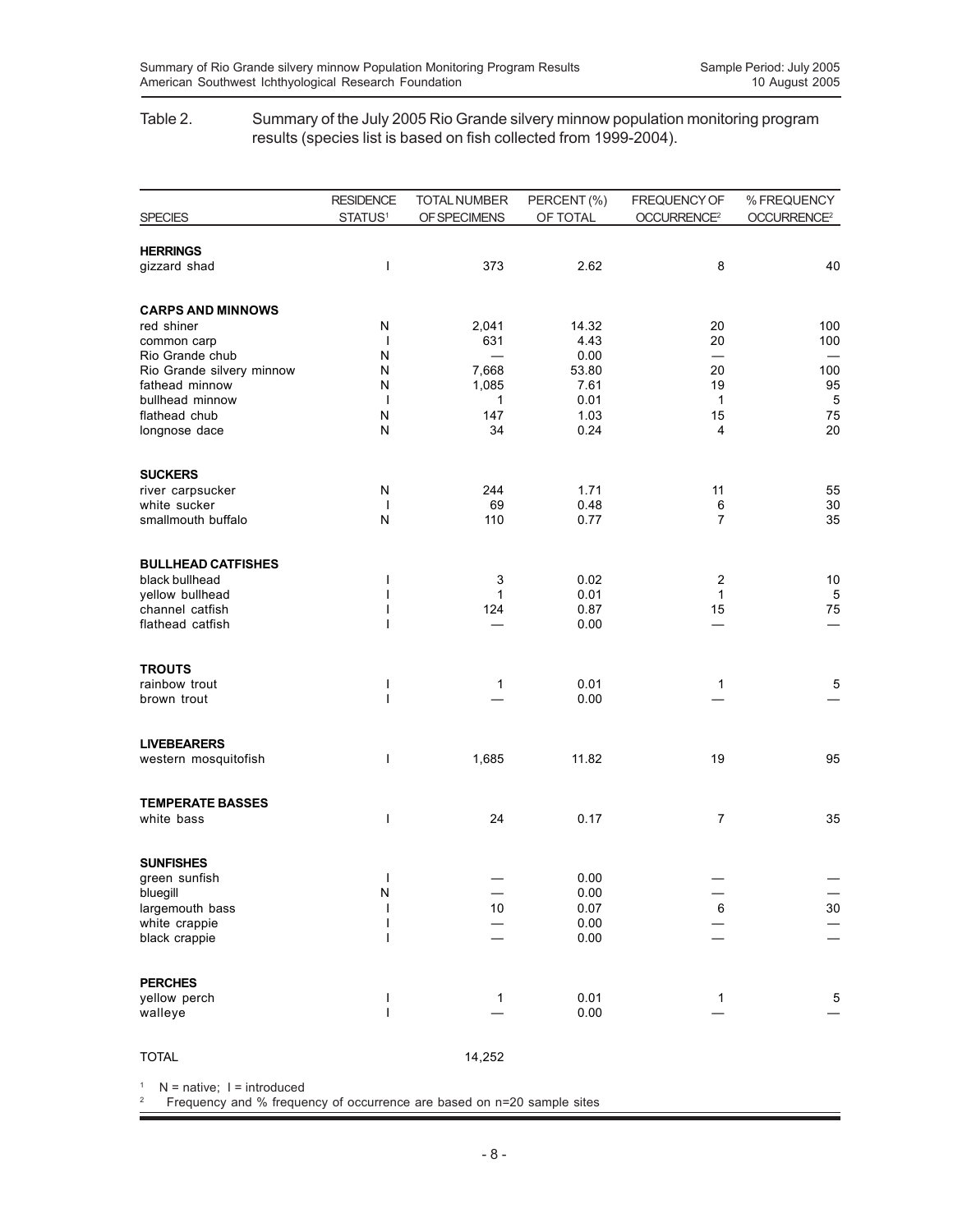## Table 2. Summary of the July 2005 Rio Grande silvery minnow population monitoring program results (species list is based on fish collected from 1999-2004).

|                                    | <b>RESIDENCE</b>              | <b>TOTAL NUMBER</b> | PERCENT (%)  | FREQUENCY OF            | % FREQUENCY             |
|------------------------------------|-------------------------------|---------------------|--------------|-------------------------|-------------------------|
| <b>SPECIES</b>                     | STATUS <sup>1</sup>           | OF SPECIMENS        | OF TOTAL     | OCCURRENCE <sup>2</sup> | OCCURRENCE <sup>2</sup> |
| <b>HERRINGS</b>                    |                               |                     |              |                         |                         |
| gizzard shad                       | I                             | 373                 | 2.62         | 8                       | 40                      |
| <b>CARPS AND MINNOWS</b>           |                               |                     |              |                         |                         |
| red shiner                         | Ν                             | 2,041               | 14.32        | 20                      | 100                     |
| common carp<br>Rio Grande chub     | $\mathbf{I}$<br>N             | 631                 | 4.43<br>0.00 | 20                      | 100                     |
| Rio Grande silvery minnow          | Ν                             | 7,668               | 53.80        | 20                      | 100                     |
| fathead minnow                     | N                             | 1,085               | 7.61         | 19                      | 95                      |
| bullhead minnow                    | $\overline{1}$                | 1                   | 0.01         | $\mathbf{1}$            | $\overline{5}$          |
| flathead chub<br>longnose dace     | N<br>N                        | 147<br>34           | 1.03<br>0.24 | 15<br>4                 | 75<br>20                |
| <b>SUCKERS</b>                     |                               |                     |              |                         |                         |
| river carpsucker                   | N                             | 244                 | 1.71         | 11                      | 55                      |
| white sucker<br>smallmouth buffalo | $\mathbf{I}$<br>N             | 69<br>110           | 0.48<br>0.77 | 6<br>$\overline{7}$     | 30<br>35                |
|                                    |                               |                     |              |                         |                         |
| <b>BULLHEAD CATFISHES</b>          |                               |                     |              |                         |                         |
| black bullhead<br>yellow bullhead  | ı<br>I                        | 3<br>$\mathbf{1}$   | 0.02<br>0.01 | 2<br>1                  | 10<br>$\overline{5}$    |
| channel catfish                    | ı                             | 124                 | 0.87         | 15                      | 75                      |
| flathead catfish                   | ı                             |                     | 0.00         |                         |                         |
| <b>TROUTS</b>                      |                               |                     |              |                         |                         |
| rainbow trout                      | I<br>$\overline{\phantom{a}}$ | 1                   | 0.01         | 1                       | $\overline{5}$          |
| brown trout                        |                               |                     | 0.00         |                         |                         |
| <b>LIVEBEARERS</b>                 |                               |                     |              |                         |                         |
| western mosquitofish               | I                             | 1,685               | 11.82        | 19                      | 95                      |
| <b>TEMPERATE BASSES</b>            |                               |                     |              |                         |                         |
| white bass                         | I                             | 24                  | 0.17         | 7                       | 35                      |
| <b>SUNFISHES</b>                   |                               |                     | 0.00         |                         |                         |
| green sunfish<br>bluegill          | I<br>N                        |                     | 0.00         |                         |                         |
| largemouth bass                    |                               | 10                  | 0.07         | 6                       | 30                      |
| white crappie                      | ı                             |                     | 0.00         |                         |                         |
| black crappie                      | ı                             |                     | 0.00         |                         |                         |
| <b>PERCHES</b>                     |                               |                     |              |                         |                         |
| yellow perch                       | ı<br>$\overline{1}$           | 1                   | 0.01<br>0.00 | 1                       | $\,$ 5 $\,$             |
| walleye                            |                               |                     |              |                         |                         |
| <b>TOTAL</b>                       |                               | 14,252              |              |                         |                         |

 $1$  N = native;  $1$  = introduced

2 Frequency and % frequency of occurrence are based on n=20 sample sites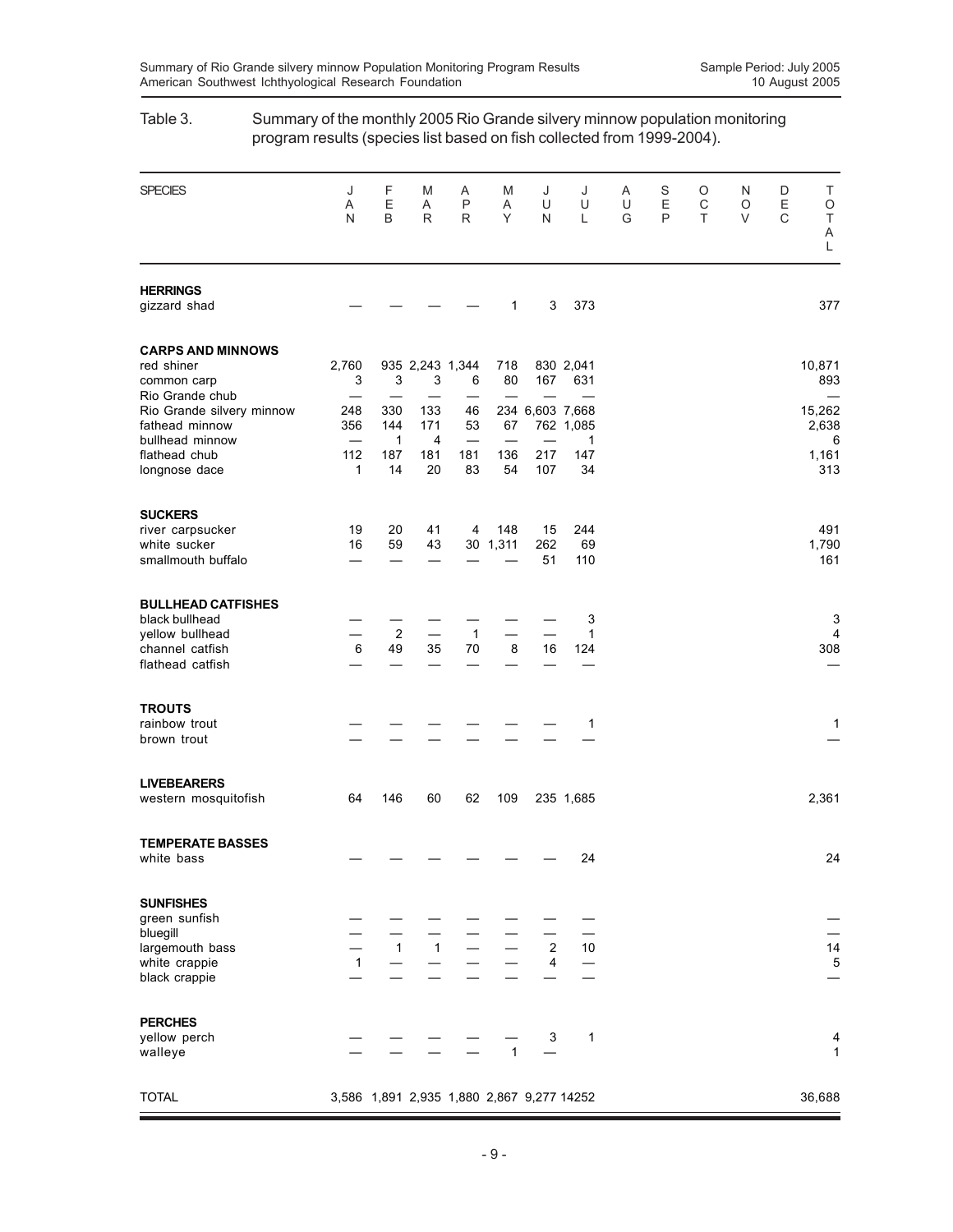| <b>SPECIES</b>                             | J<br>Α<br>N  | F<br>E<br>B      | Μ<br>A<br>R             | Α<br>P<br>R                               | M<br>Α<br>Y  | J<br>U<br>N     | J<br>U<br>Г  | Α<br>U<br>G | S<br>Ε<br>P | O<br>C<br>T | N<br>O<br>V | D<br>$\mathsf E$<br>C | Т<br>O<br>$\top$<br>Α<br>L |
|--------------------------------------------|--------------|------------------|-------------------------|-------------------------------------------|--------------|-----------------|--------------|-------------|-------------|-------------|-------------|-----------------------|----------------------------|
| <b>HERRINGS</b><br>gizzard shad            |              |                  |                         |                                           | 1            | 3               | 373          |             |             |             |             |                       | 377                        |
| <b>CARPS AND MINNOWS</b>                   |              |                  |                         |                                           |              |                 |              |             |             |             |             |                       |                            |
| red shiner                                 | 2,760        |                  | 935 2,243 1,344         |                                           | 718          |                 | 830 2,041    |             |             |             |             |                       | 10,871                     |
| common carp                                | 3            | 3                | 3                       | 6                                         | 80           | 167             | 631          |             |             |             |             |                       | 893                        |
| Rio Grande chub                            | —            |                  |                         |                                           |              |                 |              |             |             |             |             |                       |                            |
| Rio Grande silvery minnow                  | 248          | 330              | 133                     | 46                                        |              | 234 6,603 7,668 |              |             |             |             |             |                       | 15,262                     |
| fathead minnow                             | 356          | 144              | 171                     | 53                                        | 67           |                 | 762 1,085    |             |             |             |             |                       | 2,638                      |
| bullhead minnow<br>flathead chub           | 112          | 1<br>187         | 4<br>181                | 181                                       | 136          | 217             | 1<br>147     |             |             |             |             |                       | 6<br>1,161                 |
| longnose dace                              | 1            | 14               | 20                      | 83                                        | 54           | 107             | 34           |             |             |             |             |                       | 313                        |
| <b>SUCKERS</b>                             |              |                  |                         |                                           |              |                 |              |             |             |             |             |                       |                            |
| river carpsucker                           | 19           | 20               | 41                      | 4                                         | 148          | 15              | 244          |             |             |             |             |                       | 491                        |
| white sucker<br>smallmouth buffalo         | 16           | 59               | 43                      |                                           | 30 1,311     | 262<br>51       | 69<br>110    |             |             |             |             |                       | 1,790<br>161               |
| <b>BULLHEAD CATFISHES</b>                  |              |                  |                         |                                           |              |                 |              |             |             |             |             |                       |                            |
| black bullhead                             |              |                  |                         |                                           |              |                 | 3            |             |             |             |             |                       | 3                          |
| yellow bullhead                            |              | $\boldsymbol{2}$ |                         | $\mathbf{1}$                              |              |                 | 1            |             |             |             |             |                       | 4                          |
| channel catfish<br>flathead catfish        | $\,6\,$      | 49               | 35                      | 70                                        | 8            | 16              | 124          |             |             |             |             |                       | 308                        |
| <b>TROUTS</b>                              |              |                  |                         |                                           |              |                 |              |             |             |             |             |                       |                            |
| rainbow trout                              |              |                  |                         |                                           |              |                 | 1            |             |             |             |             |                       | 1                          |
| brown trout                                |              |                  |                         |                                           |              |                 |              |             |             |             |             |                       |                            |
| <b>LIVEBEARERS</b><br>western mosquitofish | 64           | 146              | 60                      | 62                                        | 109          |                 | 235 1,685    |             |             |             |             |                       | 2,361                      |
|                                            |              |                  |                         |                                           |              |                 |              |             |             |             |             |                       |                            |
| <b>TEMPERATE BASSES</b><br>white bass      |              |                  |                         |                                           |              |                 | 24           |             |             |             |             |                       | 24                         |
| <b>SUNFISHES</b>                           |              |                  |                         |                                           |              |                 |              |             |             |             |             |                       |                            |
| green sunfish                              |              |                  |                         |                                           |              |                 |              |             |             |             |             |                       |                            |
| bluegill<br>largemouth bass                |              | $\overline{1}$   | $\overline{\mathbf{1}}$ |                                           |              | $\overline{2}$  | 10           |             |             |             |             |                       | 14                         |
| white crappie                              | $\mathbf{1}$ |                  |                         |                                           |              | $\overline{4}$  |              |             |             |             |             |                       | 5                          |
| black crappie                              |              |                  |                         |                                           |              |                 |              |             |             |             |             |                       |                            |
| <b>PERCHES</b>                             |              |                  |                         |                                           |              |                 |              |             |             |             |             |                       |                            |
| yellow perch<br>walleye                    |              |                  |                         |                                           | $\mathbf{1}$ | 3               | $\mathbf{1}$ |             |             |             |             |                       | 4<br>1                     |
| <b>TOTAL</b>                               |              |                  |                         | 3,586 1,891 2,935 1,880 2,867 9,277 14252 |              |                 |              |             |             |             |             |                       | 36,688                     |

# Table 3. Summary of the monthly 2005 Rio Grande silvery minnow population monitoring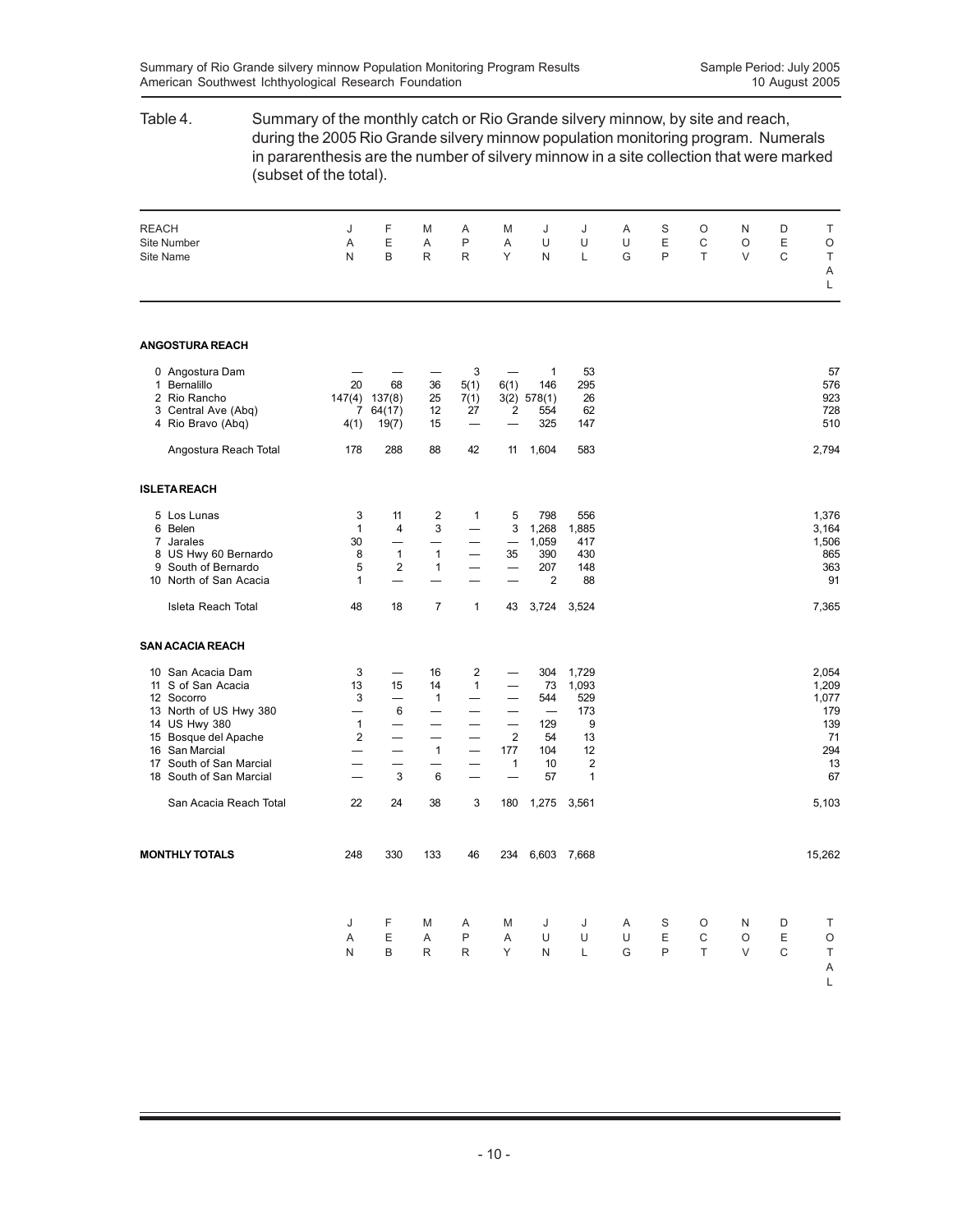## Table 4. Summary of the monthly catch or Rio Grande silvery minnow, by site and reach, during the 2005 Rio Grande silvery minnow population monitoring program. Numerals in pararenthesis are the number of silvery minnow in a site collection that were marked (subset of the total). REACH J F M A M J J A S O N D T Site Number A E A P A U U U E C O E O Site Name N B R R Y N L G P T V C T A L **ANGOSTURA REACH** 0 Angostura Dam — — — 3 — 1 53 57 1 Bernalillo 20 68 36 5(1) 6(1) 146 295 576 2 Rio Rancho 147(4) 137(8) 25 7(1) 3(2) 578(1) 26 923 3 Central Ave (Abq)  $\begin{array}{cccc} 3 & 2 & 27 & 2 & 554 \\ 4 & 1 & 1 & 1 & 1 & 1 & 2 \end{array}$ <br>
7 64(17) 12 27 27 2554 4 Rio Bravo (Abq) 4(1) 19(7) 15 — — 325 147 510 Angostura Reach Total 178 288 88 42 11 1,604 583 2,794 **ISLETA REACH** 5 Los Lunas 3 11 2 1 5 798 556 1,376 6 Belen 1 4 3 — 3 1,268 1,885 3,164 7 Jarales 30 — — — — 1,059 417 1,506 1 Variation 1991 120 130 1 1 1 1059 117<br>
8 US Hwy 60 Bernardo 18 1 1 - 35 390 430<br>
9 South of Bernardo 18 1 5 2 1 - 207 148 363<br>
9 South of Bernardo 19 5 2 1 - 207 148 9 South of Bernardo  $\begin{array}{cccc} 5 & 2 & 1 & - & - & 207 \\ 10 & \text{North of San Acacia} & 1 & - & - & - & 2 \end{array}$ 10 North of San Acacia 1 — — — 2 88 91 91 Isleta Reach Total 48 18 7 1 43 3,724 3,524 7,365 **SAN ACACIA REACH** 10 San Acacia Dam 3 — 16 2 — 304 1,729 2,054 11 S of San Acacia 13 15 14 1 - 73 1,093 1,209<br>
12 Socorro 13 15 14 - 73 1,093 1,097<br>
13 1,077 13 North of US Hwy 380 - 6 - - - 173 179 179 12 Socorro 3 — 1 — — 544 529 1,077 12 Socorro<br>
13 North of US Hwy 380  $\begin{array}{cccccccc} 3 & - & 1 & - & - & 544 & 529 & & 1,077 \\ - & 6 & - & - & - & - & - & 173 & & 179 \\ 14 & 18 & 18980 & & 1 & - & - & - & 2 & 54 & 13 & & 139 \\ 15 & 16 & 5a<sub>1</sub>Marcial & & & - & - & 1 & - & 177 & 104 & 12 & & 294 \\ 17 & 50<sub>2</sub> & 1 & 10 & 2 & &$ 14 US Hwy 380 1 — — — — 129 9 139 15 Bosque del Apache 2 — — 2 54 13 71<br>16 San Marcial — — 1 — 177 104 12 294 16 San Marcial — — 1 — 177 104 12<br>17 South of San Marcial — — — 1 10 2<br>18 South of San Marcial — 3 6 — – 57 1 17 South of San Marcial — — — — — 1 10 2<br>18 South of San Marcial — 3 6 — — 57 1 18 South of San Marcial San Acacia Reach Total 22 24 38 3 180 1,275 3,561 5,103 5,103 **MONTHLY TOTALS** 248 330 133 46 234 6,603 7,668 15,262 15,262 J FMA MJ J ASO ND T AEAP AUU UEC OE O NBRR YNL GPT VC T A L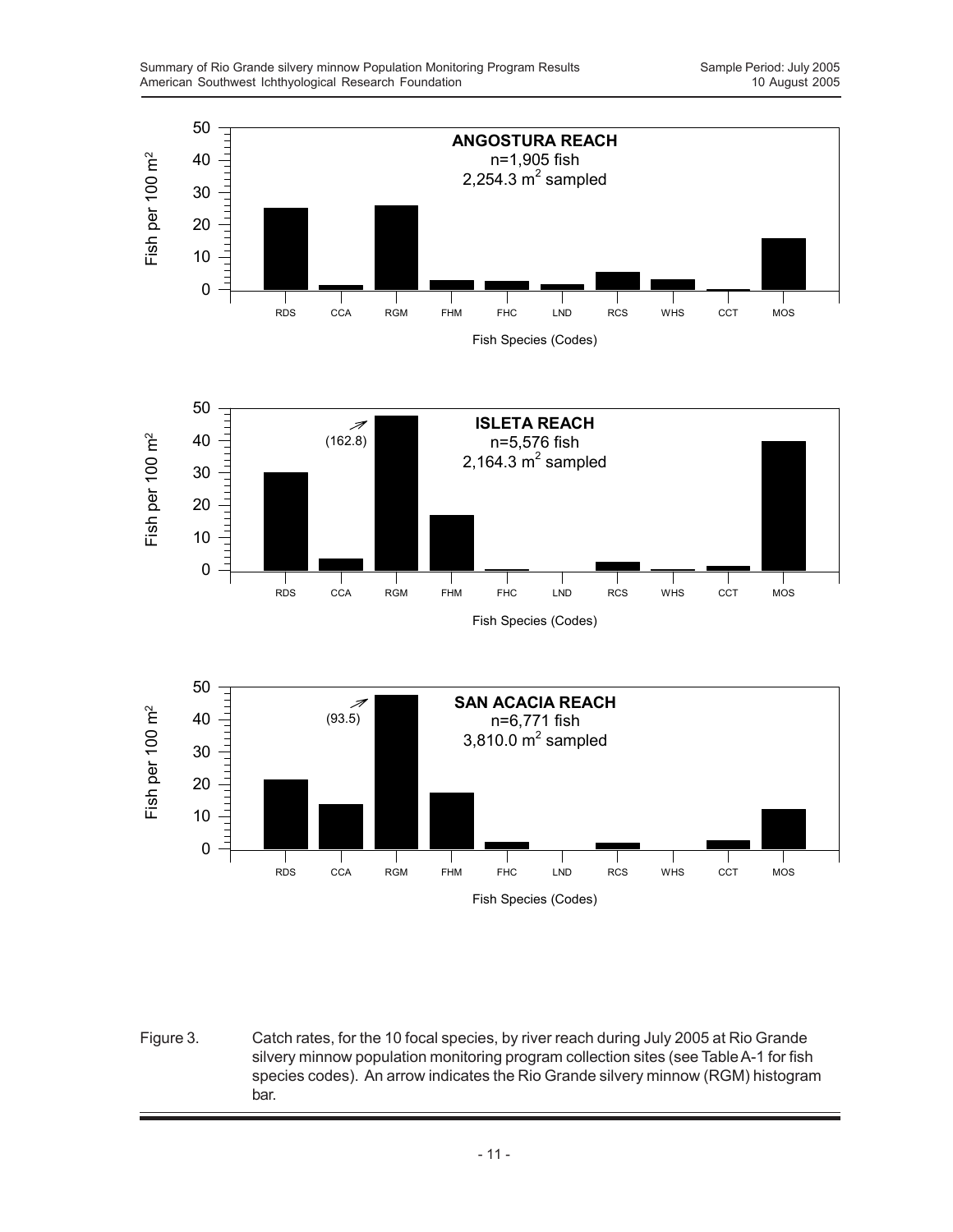

Figure 3. Catch rates, for the 10 focal species, by river reach during July 2005 at Rio Grande silvery minnow population monitoring program collection sites (see Table A-1 for fish species codes). An arrow indicates the Rio Grande silvery minnow (RGM) histogram bar.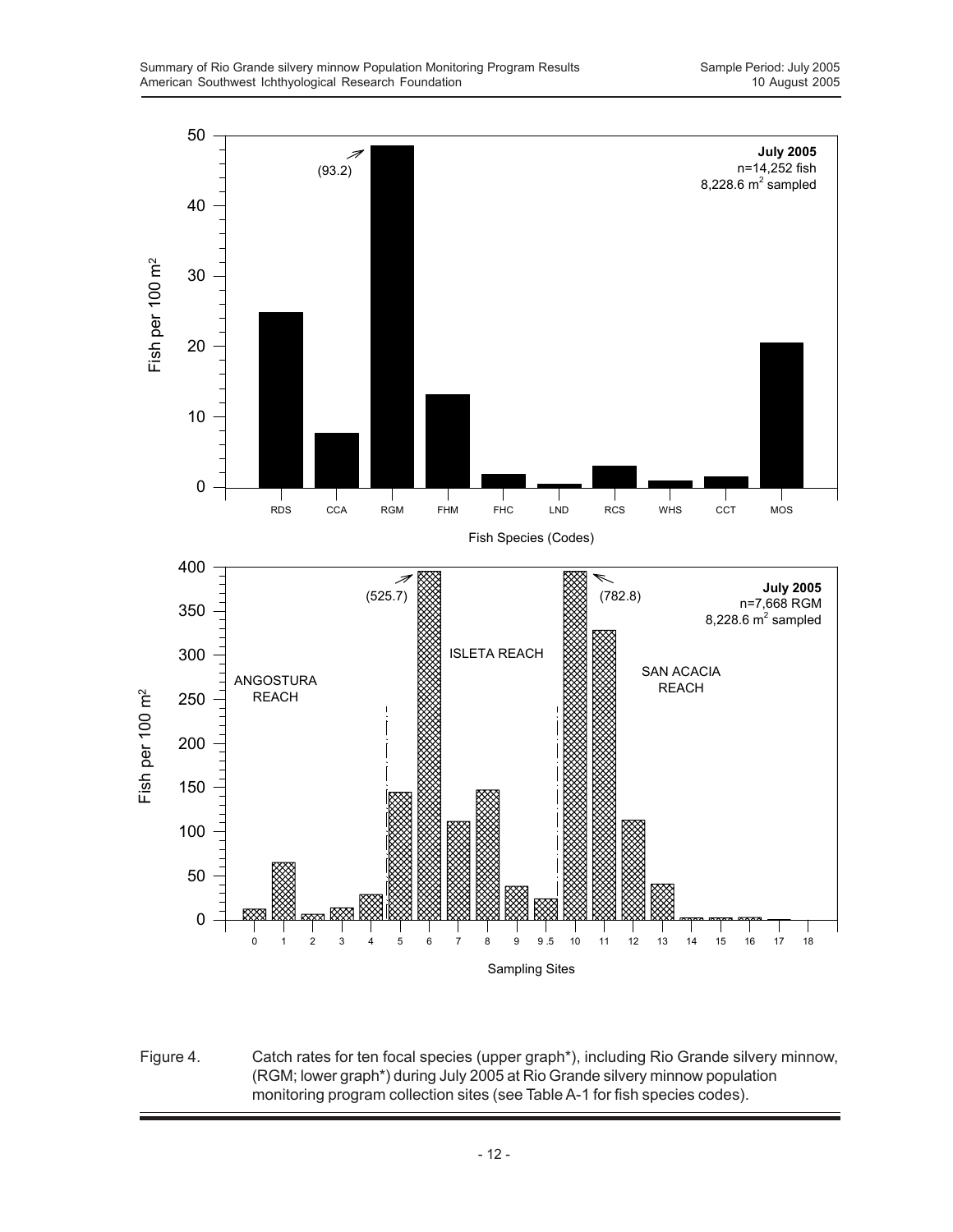

Figure 4. Catch rates for ten focal species (upper graph\*), including Rio Grande silvery minnow, (RGM; lower graph\*) during July 2005 at Rio Grande silvery minnow population monitoring program collection sites (see Table A-1 for fish species codes).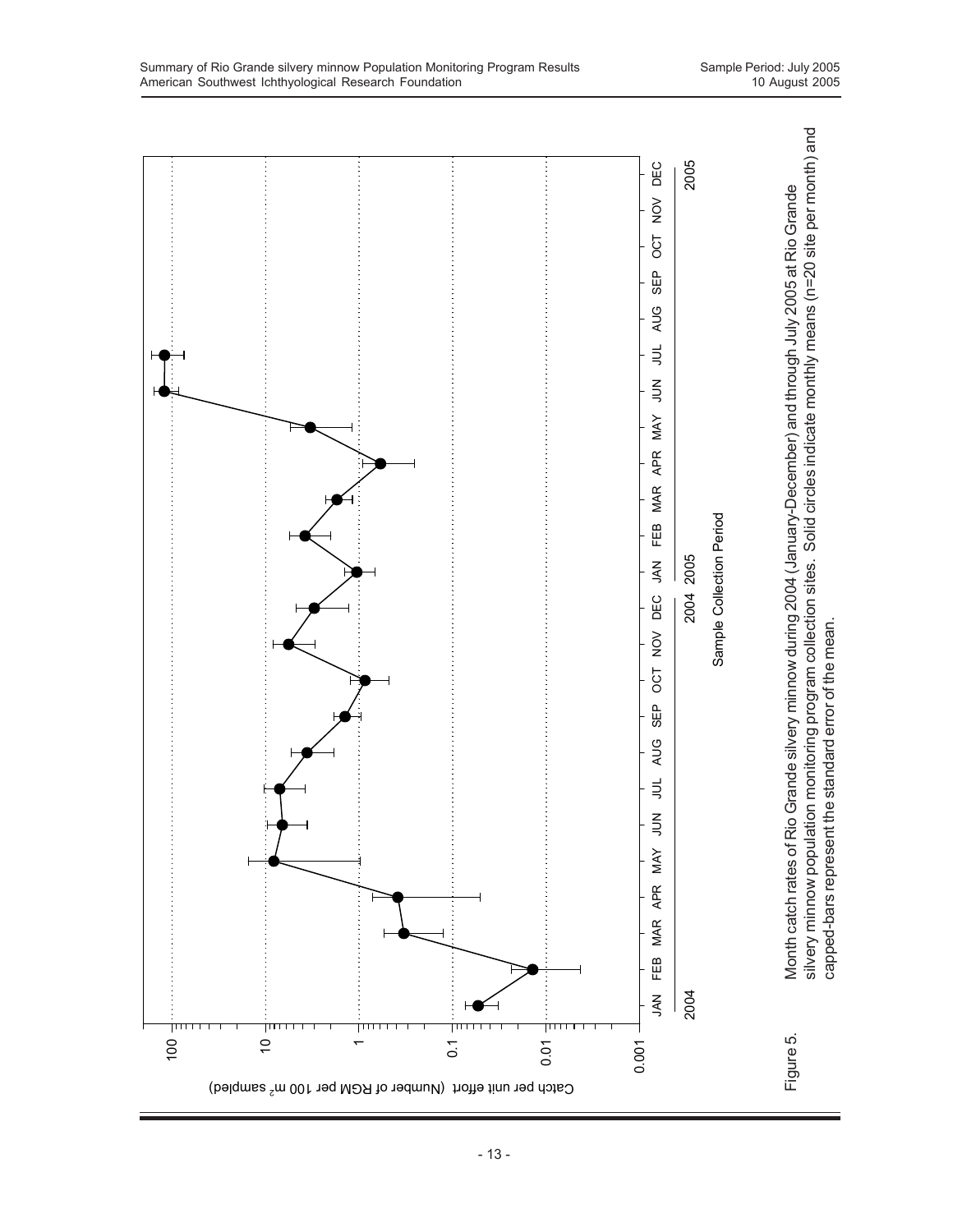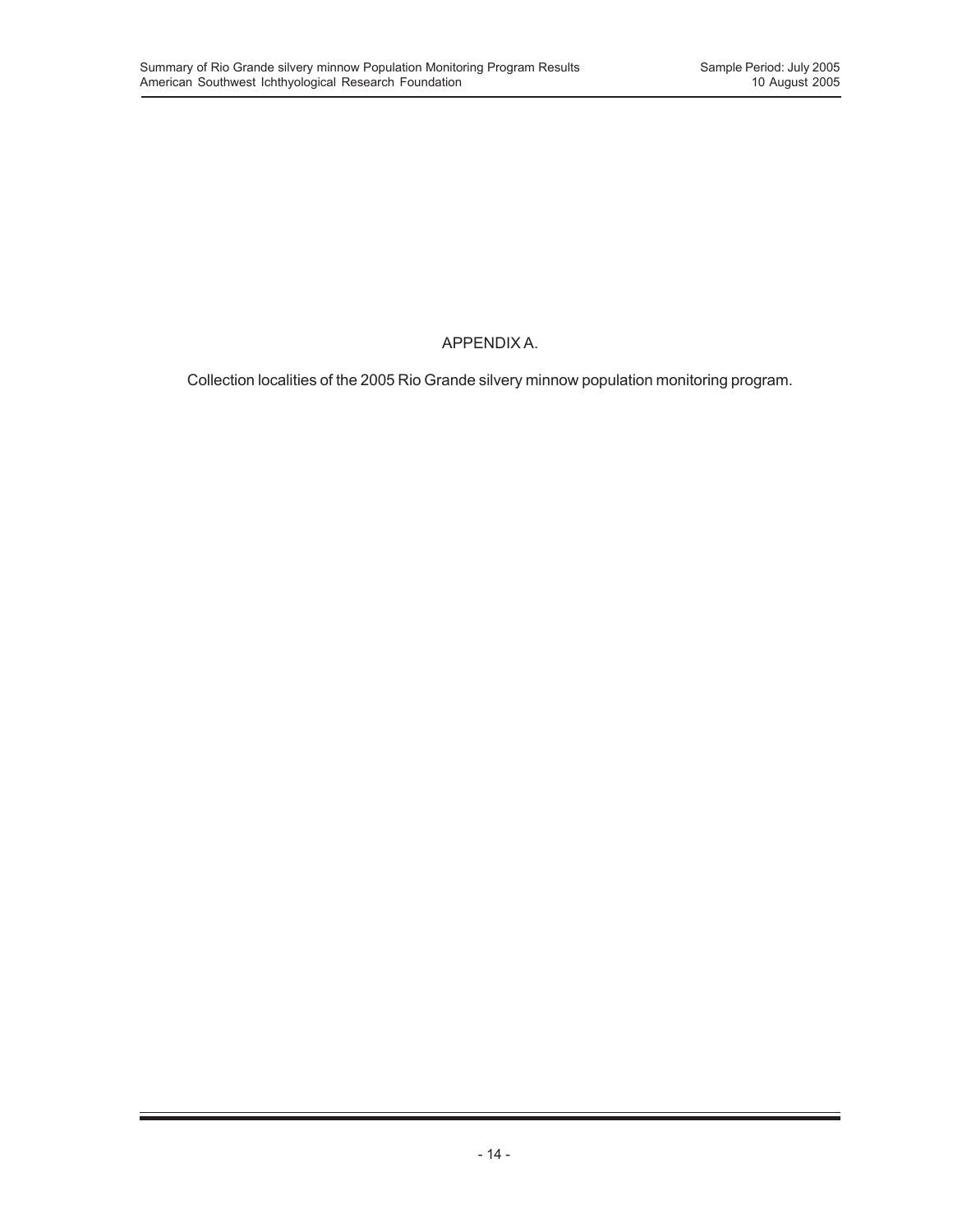# APPENDIX A.

Collection localities of the 2005 Rio Grande silvery minnow population monitoring program.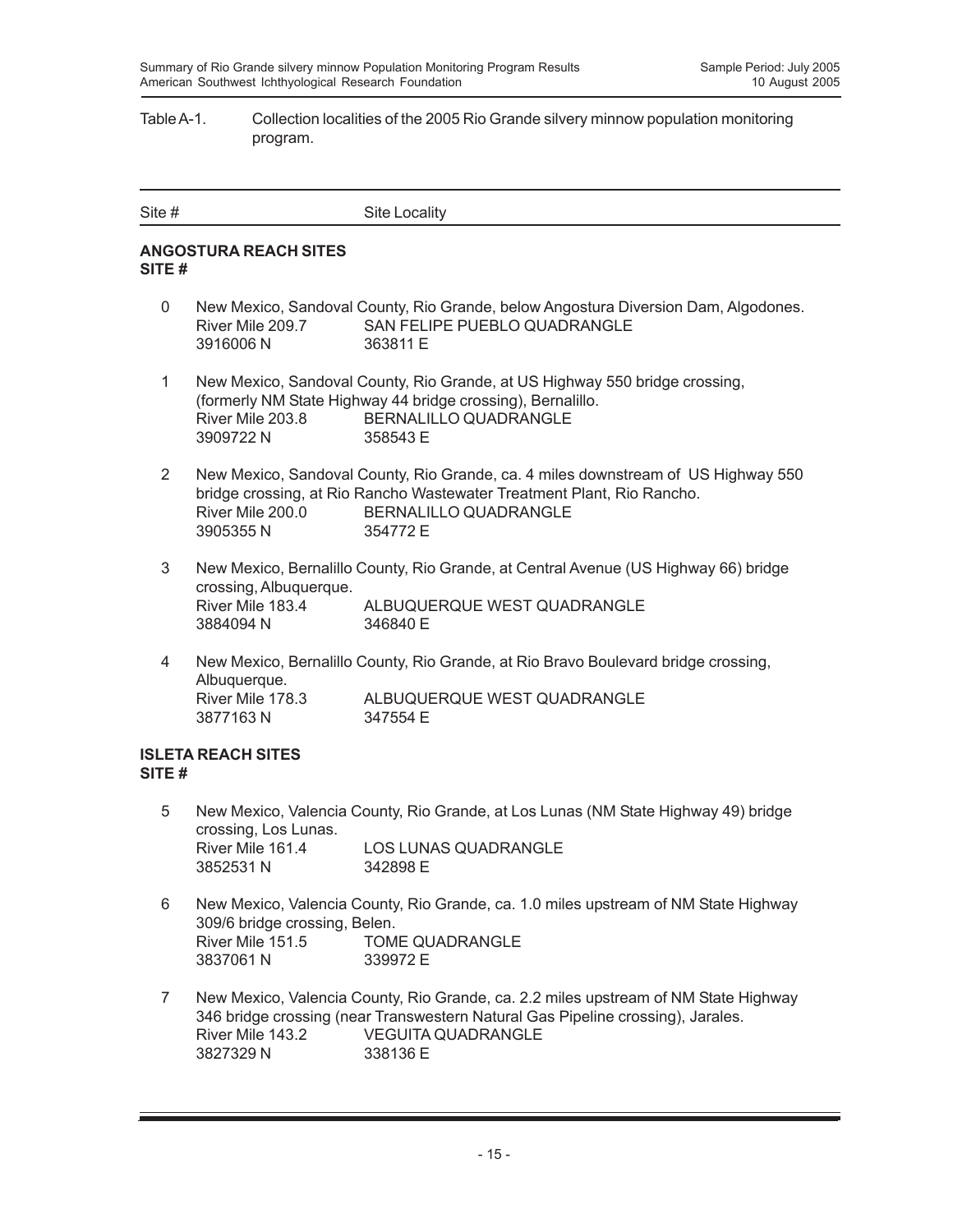## Table A-1. Collection localities of the 2005 Rio Grande silvery minnow population monitoring program.

| Site # | Site Locality |
|--------|---------------|
|        |               |

## **ANGOSTURA REACH SITES SITE #**

- 0 New Mexico, Sandoval County, Rio Grande, below Angostura Diversion Dam, Algodones. River Mile 209.7 SAN FELIPE PUEBLO QUADRANGLE 3916006 N 363811 E
- 1 New Mexico, Sandoval County, Rio Grande, at US Highway 550 bridge crossing, (formerly NM State Highway 44 bridge crossing), Bernalillo. River Mile 203.8 BERNALILLO QUADRANGLE 3909722 N 358543 E
- 2 New Mexico, Sandoval County, Rio Grande, ca. 4 miles downstream of US Highway 550 bridge crossing, at Rio Rancho Wastewater Treatment Plant, Rio Rancho. River Mile 200.0 BERNALILLO QUADRANGLE 3905355 N 354772 E
- 3 New Mexico, Bernalillo County, Rio Grande, at Central Avenue (US Highway 66) bridge crossing, Albuquerque. ALBUQUERQUE WEST QUADRANGLE 3884094 N 346840 E
- 4 New Mexico, Bernalillo County, Rio Grande, at Rio Bravo Boulevard bridge crossing, Albuquerque. River Mile 178.3 ALBUQUERQUE WEST QUADRANGLE 3877163 N 347554 E

## **ISLETA REACH SITES SITE #**

- 5 New Mexico, Valencia County, Rio Grande, at Los Lunas (NM State Highway 49) bridge crossing, Los Lunas. River Mile 161.4 LOS LUNAS QUADRANGLE 3852531 N 342898 E
- 6 New Mexico, Valencia County, Rio Grande, ca. 1.0 miles upstream of NM State Highway 309/6 bridge crossing, Belen. River Mile 151.5 TOME QUADRANGLE 3837061 N 339972 E
- 7 New Mexico, Valencia County, Rio Grande, ca. 2.2 miles upstream of NM State Highway 346 bridge crossing (near Transwestern Natural Gas Pipeline crossing), Jarales. River Mile 143.2 VEGUITA QUADRANGLE 3827329 N 338136 E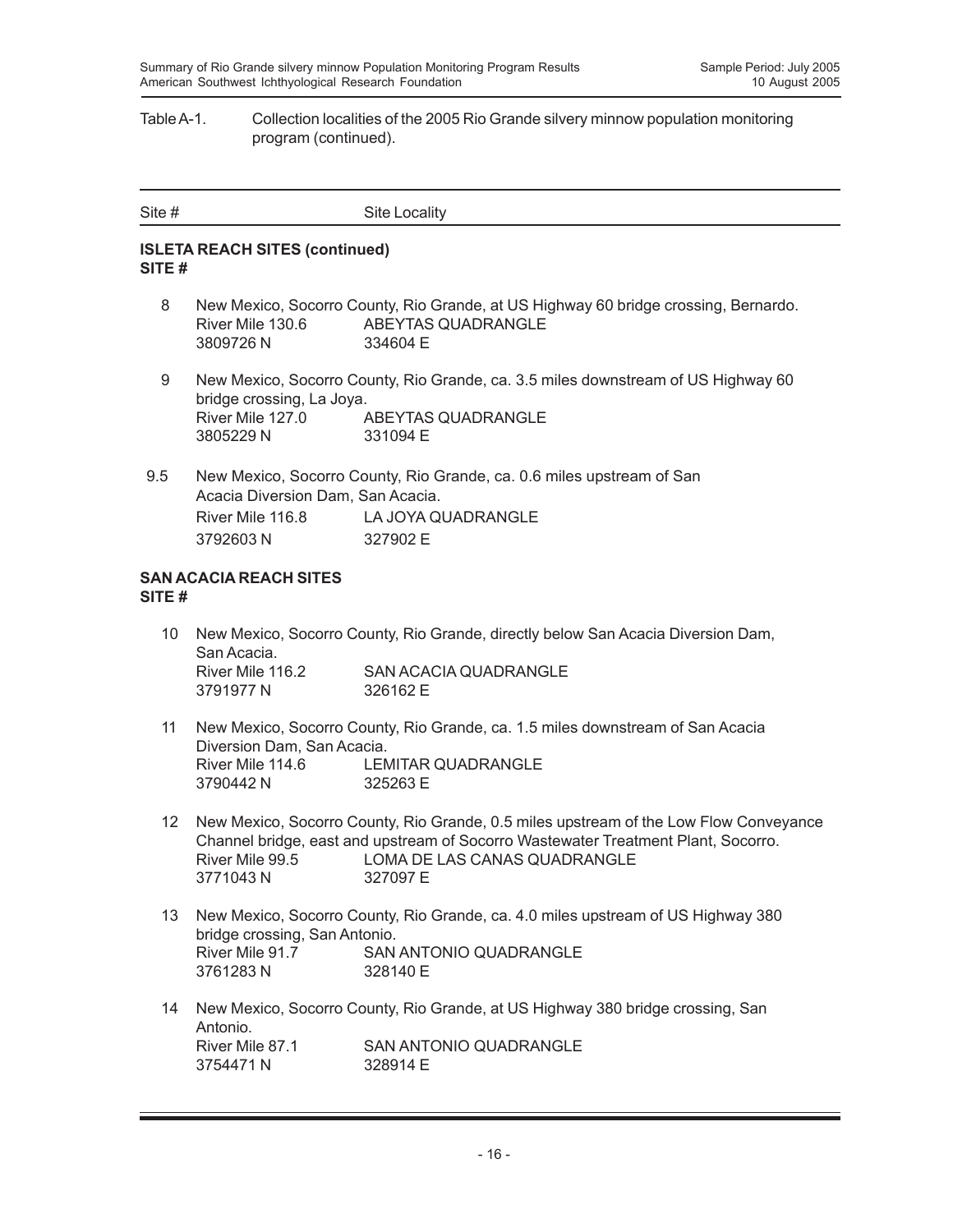## Table A-1. Collection localities of the 2005 Rio Grande silvery minnow population monitoring program (continued).

| Site # | Site Locality |
|--------|---------------|
|        |               |

## **ISLETA REACH SITES (continued) SITE #**

- 8 New Mexico, Socorro County, Rio Grande, at US Highway 60 bridge crossing, Bernardo. River Mile 130.6 ABEYTAS QUADRANGLE 3809726 N 334604 E
- 9 New Mexico, Socorro County, Rio Grande, ca. 3.5 miles downstream of US Highway 60 bridge crossing, La Joya. River Mile 127.0 ABEYTAS QUADRANGLE 3805229 N 331094 E
- 9.5 New Mexico, Socorro County, Rio Grande, ca. 0.6 miles upstream of San Acacia Diversion Dam, San Acacia. River Mile 116.8 LA JOYA QUADRANGLE 3792603 N 327902 E

#### **SAN ACACIA REACH SITES SITE #**

- 10 New Mexico, Socorro County, Rio Grande, directly below San Acacia Diversion Dam, San Acacia. River Mile 116.2 SAN ACACIA QUADRANGLE 3791977 N 326162 E
- 11 New Mexico, Socorro County, Rio Grande, ca. 1.5 miles downstream of San Acacia Diversion Dam, San Acacia. River Mile 114.6 LEMITAR QUADRANGLE 3790442 N 325263 E
- 12 New Mexico, Socorro County, Rio Grande, 0.5 miles upstream of the Low Flow Conveyance Channel bridge, east and upstream of Socorro Wastewater Treatment Plant, Socorro. River Mile 99.5 LOMA DE LAS CANAS QUADRANGLE 3771043 N 327097 E
- 13 New Mexico, Socorro County, Rio Grande, ca. 4.0 miles upstream of US Highway 380 bridge crossing, San Antonio. River Mile 91.7 SAN ANTONIO QUADRANGLE 3761283 N 328140 E
- 14 New Mexico, Socorro County, Rio Grande, at US Highway 380 bridge crossing, San Antonio.<br>River Mile 87.1 SAN ANTONIO QUADRANGLE 3754471 N 328914 F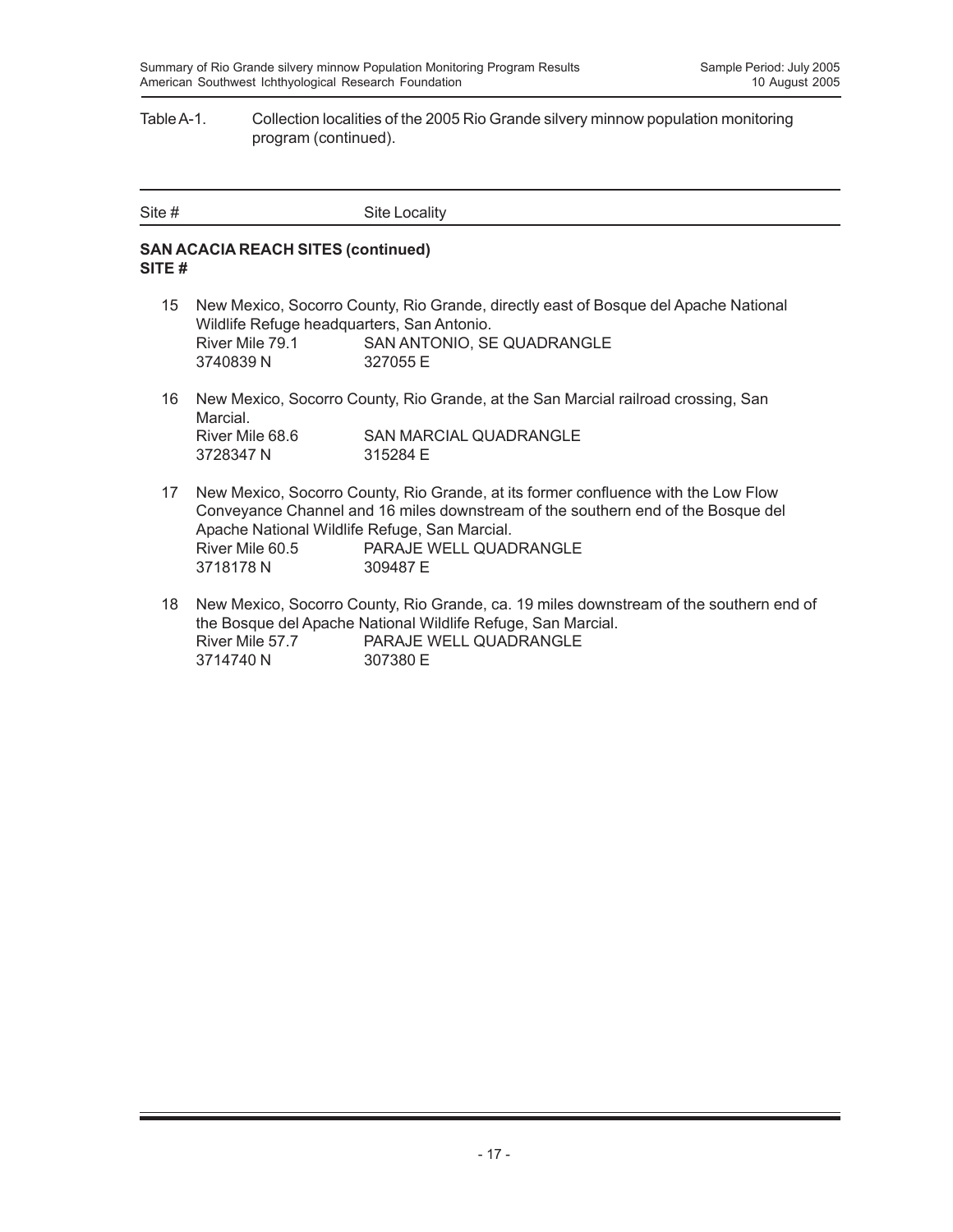## Table A-1. Collection localities of the 2005 Rio Grande silvery minnow population monitoring program (continued).

| Site # | Site Locality |
|--------|---------------|

## **SAN ACACIA REACH SITES (continued) SITE #**

- 15 New Mexico, Socorro County, Rio Grande, directly east of Bosque del Apache National Wildlife Refuge headquarters, San Antonio. River Mile 79.1 SAN ANTONIO, SE QUADRANGLE 3740839 N 327055 E
- 16 New Mexico, Socorro County, Rio Grande, at the San Marcial railroad crossing, San Marcial. River Mile 68.6 SAN MARCIAL QUADRANGLE<br>3728347 N 315284 E 3728347 N
- 17 New Mexico, Socorro County, Rio Grande, at its former confluence with the Low Flow Conveyance Channel and 16 miles downstream of the southern end of the Bosque del Apache National Wildlife Refuge, San Marcial. River Mile 60.5 PARAJE WELL QUADRANGLE 3718178 N 309487 E
- 18 New Mexico, Socorro County, Rio Grande, ca. 19 miles downstream of the southern end of the Bosque del Apache National Wildlife Refuge, San Marcial. River Mile 57.7 PARAJE WELL QUADRANGLE 3714740 N 307380 E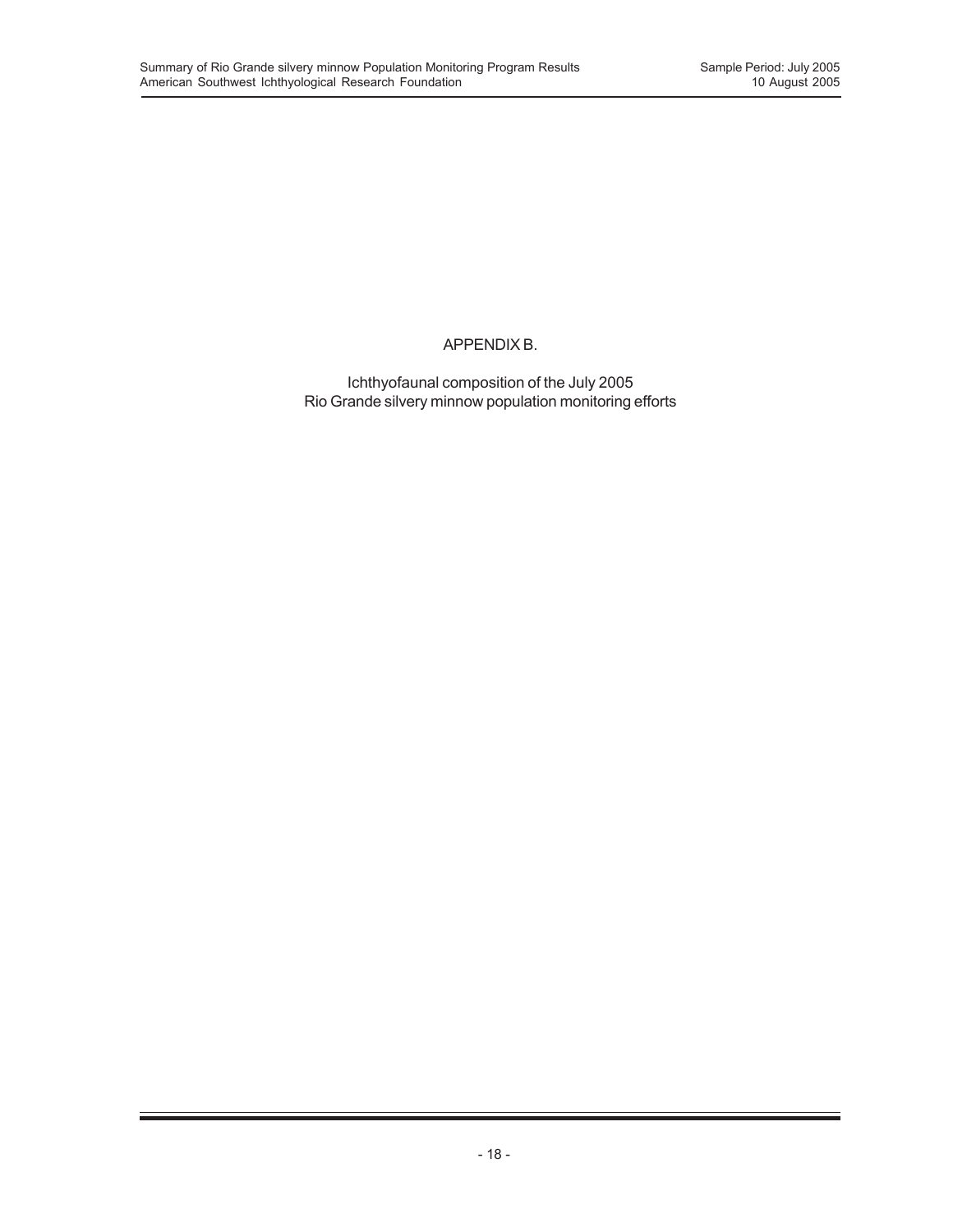## APPENDIX B.

Ichthyofaunal composition of the July 2005 Rio Grande silvery minnow population monitoring efforts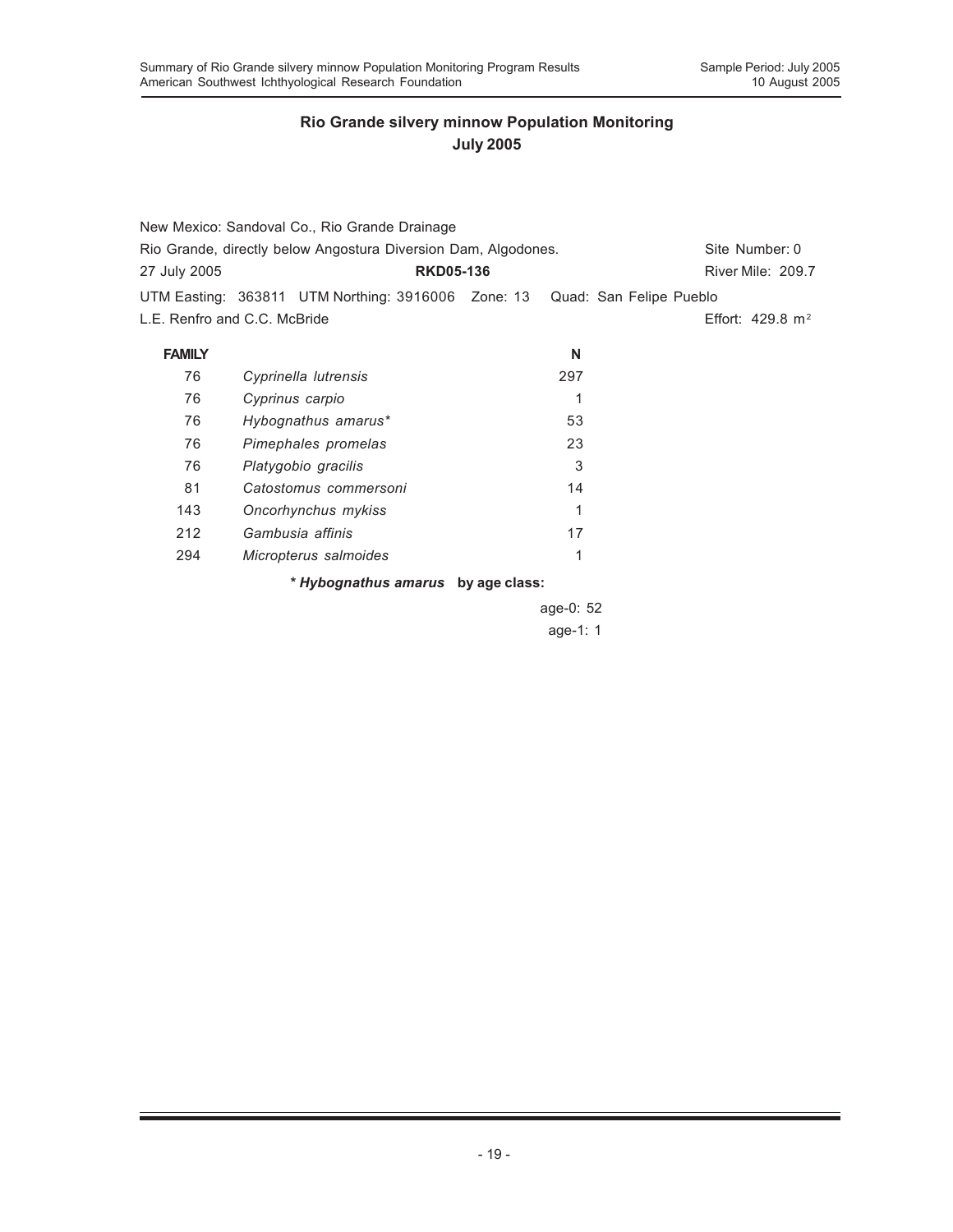|                                                                | New Mexico: Sandoval Co., Rio Grande Drainage                              |           |                             |  |
|----------------------------------------------------------------|----------------------------------------------------------------------------|-----------|-----------------------------|--|
| Rio Grande, directly below Angostura Diversion Dam, Algodones. | Site Number: 0                                                             |           |                             |  |
| 27 July 2005                                                   | <b>RKD05-136</b>                                                           |           | River Mile: 209.7           |  |
|                                                                | UTM Easting: 363811 UTM Northing: 3916006 Zone: 13 Quad: San Felipe Pueblo |           |                             |  |
|                                                                | L.E. Renfro and C.C. McBride                                               |           | Effort: $429.8 \text{ m}^2$ |  |
| <b>FAMILY</b>                                                  |                                                                            | N         |                             |  |
| 76                                                             | Cyprinella lutrensis                                                       | 297       |                             |  |
| 76                                                             | Cyprinus carpio                                                            | 1         |                             |  |
| 76                                                             | Hybognathus amarus*                                                        | 53        |                             |  |
| 76                                                             | Pimephales promelas                                                        | 23        |                             |  |
| 76                                                             | Platygobio gracilis                                                        | 3         |                             |  |
| 81                                                             | Catostomus commersoni                                                      | 14        |                             |  |
| 143                                                            | Oncorhynchus mykiss                                                        | 1         |                             |  |
| 212                                                            | Gambusia affinis                                                           | 17        |                             |  |
| 294                                                            | Micropterus salmoides                                                      | 1         |                             |  |
|                                                                | * Hybognathus amarus by age class:                                         |           |                             |  |
|                                                                |                                                                            | age-0: 52 |                             |  |

age-1: 1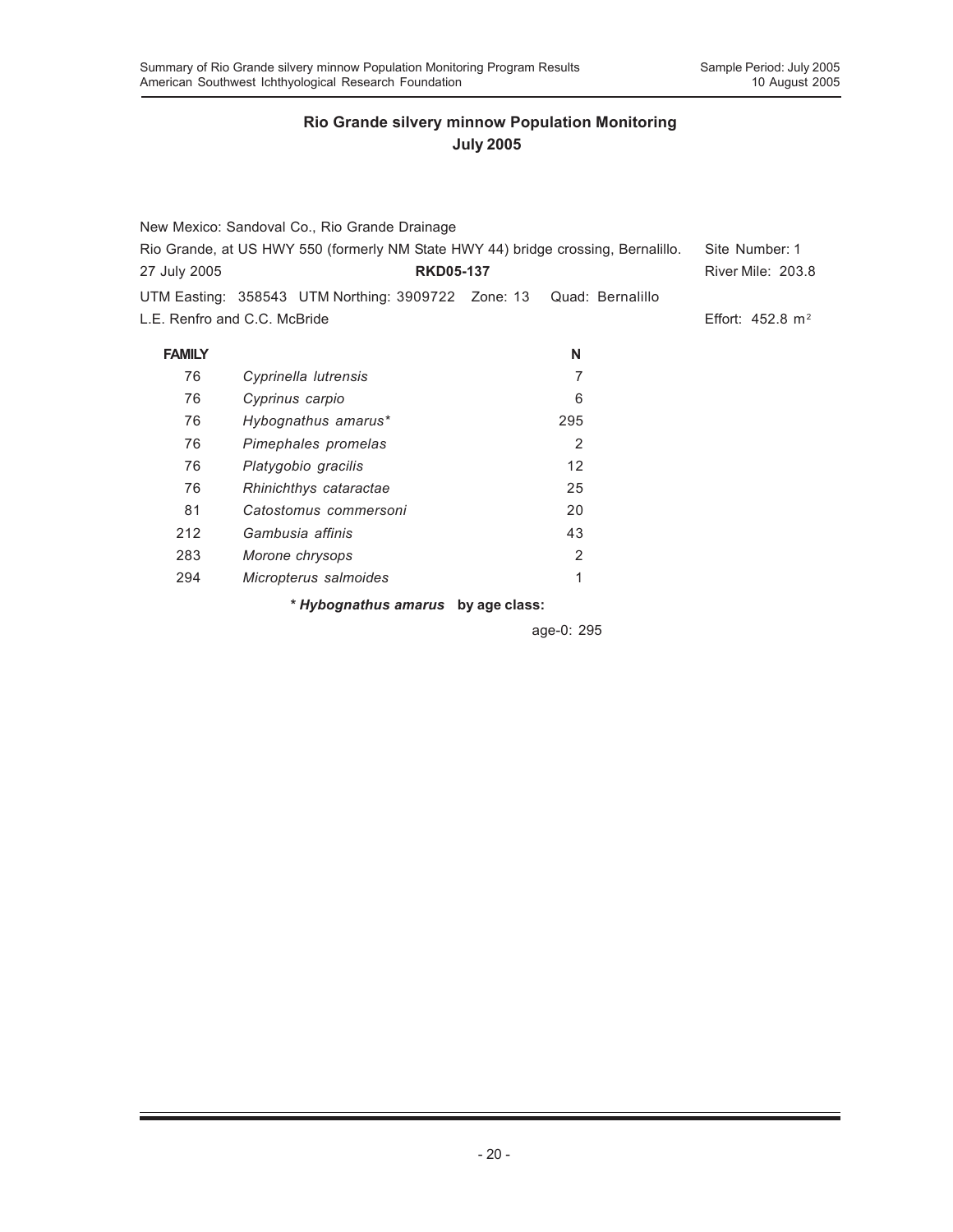|                                                                                   | New Mexico: Sandoval Co., Rio Grande Drainage                       |                |                             |
|-----------------------------------------------------------------------------------|---------------------------------------------------------------------|----------------|-----------------------------|
| Rio Grande, at US HWY 550 (formerly NM State HWY 44) bridge crossing, Bernalillo. | Site Number: 1                                                      |                |                             |
| 27 July 2005                                                                      | <b>RKD05-137</b>                                                    |                | River Mile: 203.8           |
|                                                                                   | UTM Easting: 358543 UTM Northing: 3909722 Zone: 13 Quad: Bernalillo |                |                             |
|                                                                                   | L.E. Renfro and C.C. McBride                                        |                | Effort: $452.8 \text{ m}^2$ |
| <b>FAMILY</b>                                                                     |                                                                     | N              |                             |
| 76                                                                                | Cyprinella lutrensis                                                | 7              |                             |
| 76                                                                                | Cyprinus carpio                                                     | 6              |                             |
| 76                                                                                | Hybognathus amarus*                                                 | 295            |                             |
| 76                                                                                | Pimephales promelas                                                 | $\overline{2}$ |                             |
| 76                                                                                | Platygobio gracilis                                                 | 12             |                             |
| 76                                                                                | Rhinichthys cataractae                                              | 25             |                             |
| 81                                                                                | Catostomus commersoni                                               | 20             |                             |
| 212                                                                               | Gambusia affinis                                                    | 43             |                             |
| 283                                                                               | Morone chrysops                                                     | 2              |                             |
| 294                                                                               | Micropterus salmoides                                               | 1              |                             |
|                                                                                   | * Hybognathus amarus by age class:                                  |                |                             |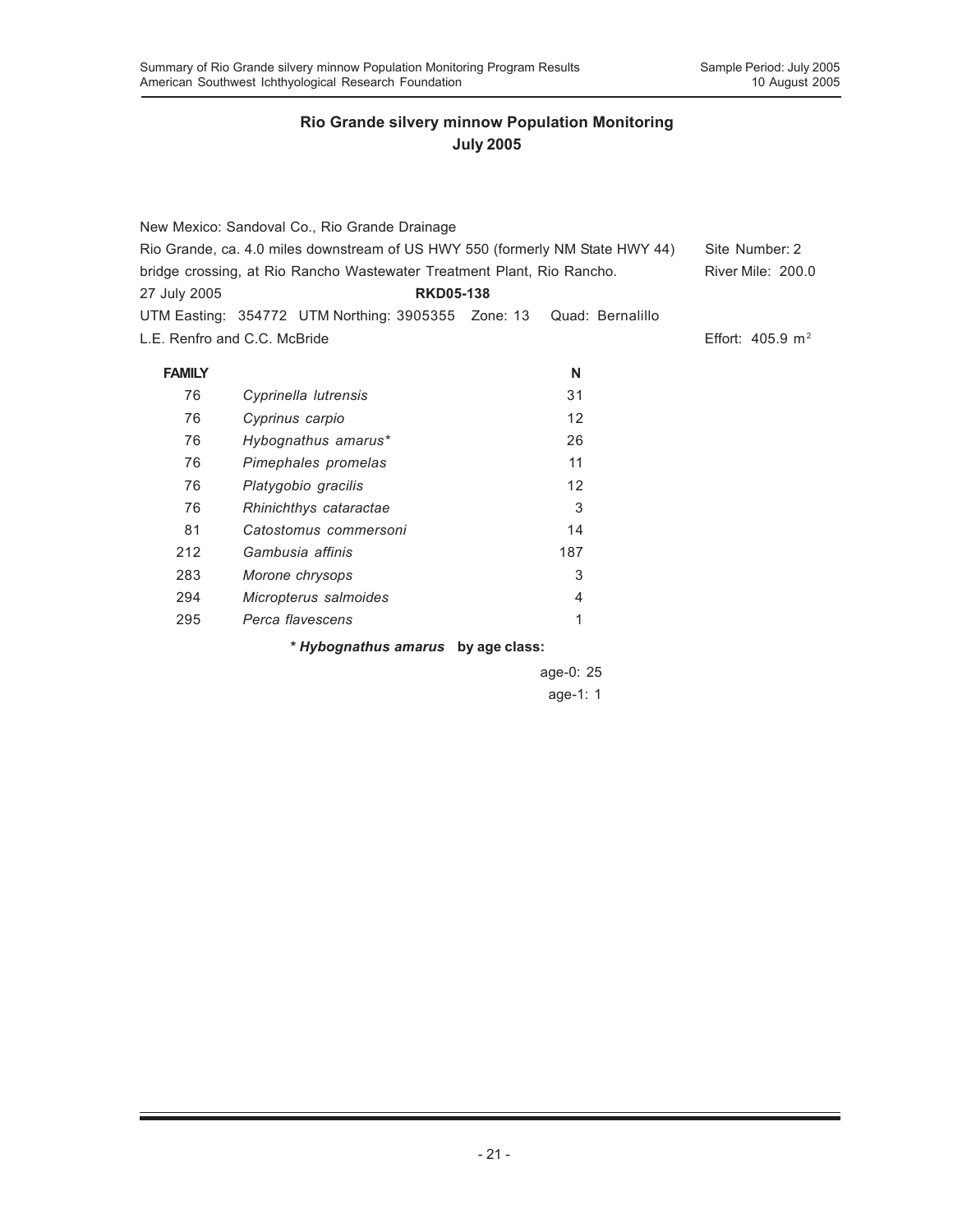|                              | New Mexico: Sandoval Co., Rio Grande Drainage                                 |                  |                             |  |  |
|------------------------------|-------------------------------------------------------------------------------|------------------|-----------------------------|--|--|
|                              | Rio Grande, ca. 4.0 miles downstream of US HWY 550 (formerly NM State HWY 44) |                  |                             |  |  |
|                              | bridge crossing, at Rio Rancho Wastewater Treatment Plant, Rio Rancho.        |                  | River Mile: 200.0           |  |  |
| 27 July 2005                 | <b>RKD05-138</b>                                                              |                  |                             |  |  |
|                              | UTM Easting: 354772 UTM Northing: 3905355 Zone: 13                            | Quad: Bernalillo |                             |  |  |
| L.E. Renfro and C.C. McBride |                                                                               |                  | Effort: $405.9 \text{ m}^2$ |  |  |
| <b>FAMILY</b>                |                                                                               | N                |                             |  |  |
| 76                           | Cyprinella lutrensis                                                          | 31               |                             |  |  |
| 76                           | Cyprinus carpio                                                               | 12               |                             |  |  |
| 76                           | Hybognathus amarus*                                                           | 26               |                             |  |  |
| 76                           | Pimephales promelas                                                           | 11               |                             |  |  |
| 76                           | Platygobio gracilis                                                           | 12               |                             |  |  |
| 76                           | Rhinichthys cataractae                                                        | 3                |                             |  |  |
| 81                           | Catostomus commersoni                                                         | 14               |                             |  |  |
| 212                          | Gambusia affinis                                                              | 187              |                             |  |  |
| 283                          | Morone chrysops                                                               | 3                |                             |  |  |
| 294                          | Micropterus salmoides                                                         | 4                |                             |  |  |
| 295                          | Perca flavescens                                                              | 1                |                             |  |  |
|                              | * Hybognathus amarus by age class:                                            |                  |                             |  |  |
|                              |                                                                               | age-0: $25$      |                             |  |  |
|                              |                                                                               | age-1: 1         |                             |  |  |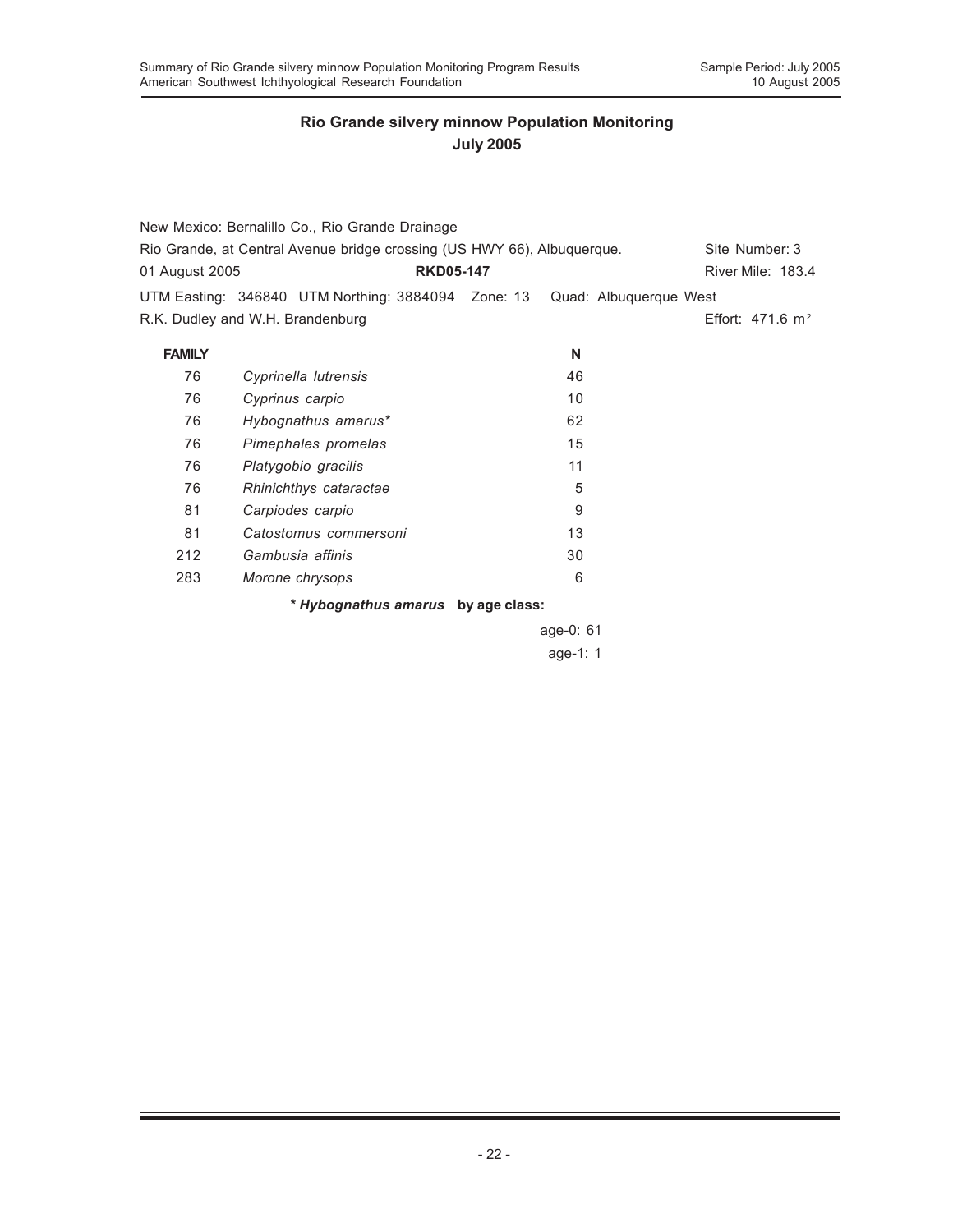|                                                                         | New Mexico: Bernalillo Co., Rio Grande Drainage                           |    |                             |
|-------------------------------------------------------------------------|---------------------------------------------------------------------------|----|-----------------------------|
| Rio Grande, at Central Avenue bridge crossing (US HWY 66), Albuquerque. | Site Number: 3                                                            |    |                             |
| 01 August 2005                                                          | <b>RKD05-147</b>                                                          |    | River Mile: 183.4           |
|                                                                         | UTM Easting: 346840 UTM Northing: 3884094 Zone: 13 Quad: Albuquerque West |    |                             |
|                                                                         | R.K. Dudley and W.H. Brandenburg                                          |    | Effort: $471.6 \text{ m}^2$ |
| <b>FAMILY</b>                                                           |                                                                           | N  |                             |
| 76                                                                      | Cyprinella lutrensis                                                      | 46 |                             |
| 76                                                                      | Cyprinus carpio                                                           | 10 |                             |
| 76                                                                      | Hybognathus amarus*                                                       | 62 |                             |
| 76                                                                      | Pimephales promelas                                                       | 15 |                             |
| 76                                                                      | Platygobio gracilis                                                       | 11 |                             |
| 76                                                                      | Rhinichthys cataractae                                                    | 5  |                             |
| 81                                                                      | Carpiodes carpio                                                          | 9  |                             |
| 81                                                                      | Catostomus commersoni                                                     | 13 |                             |
| 212                                                                     | Gambusia affinis                                                          | 30 |                             |
| 283                                                                     | Morone chrysops                                                           | 6  |                             |
|                                                                         | * Hybognathus amarus by age class:                                        |    |                             |
|                                                                         |                                                                           |    |                             |

age-0: 61 age-1: 1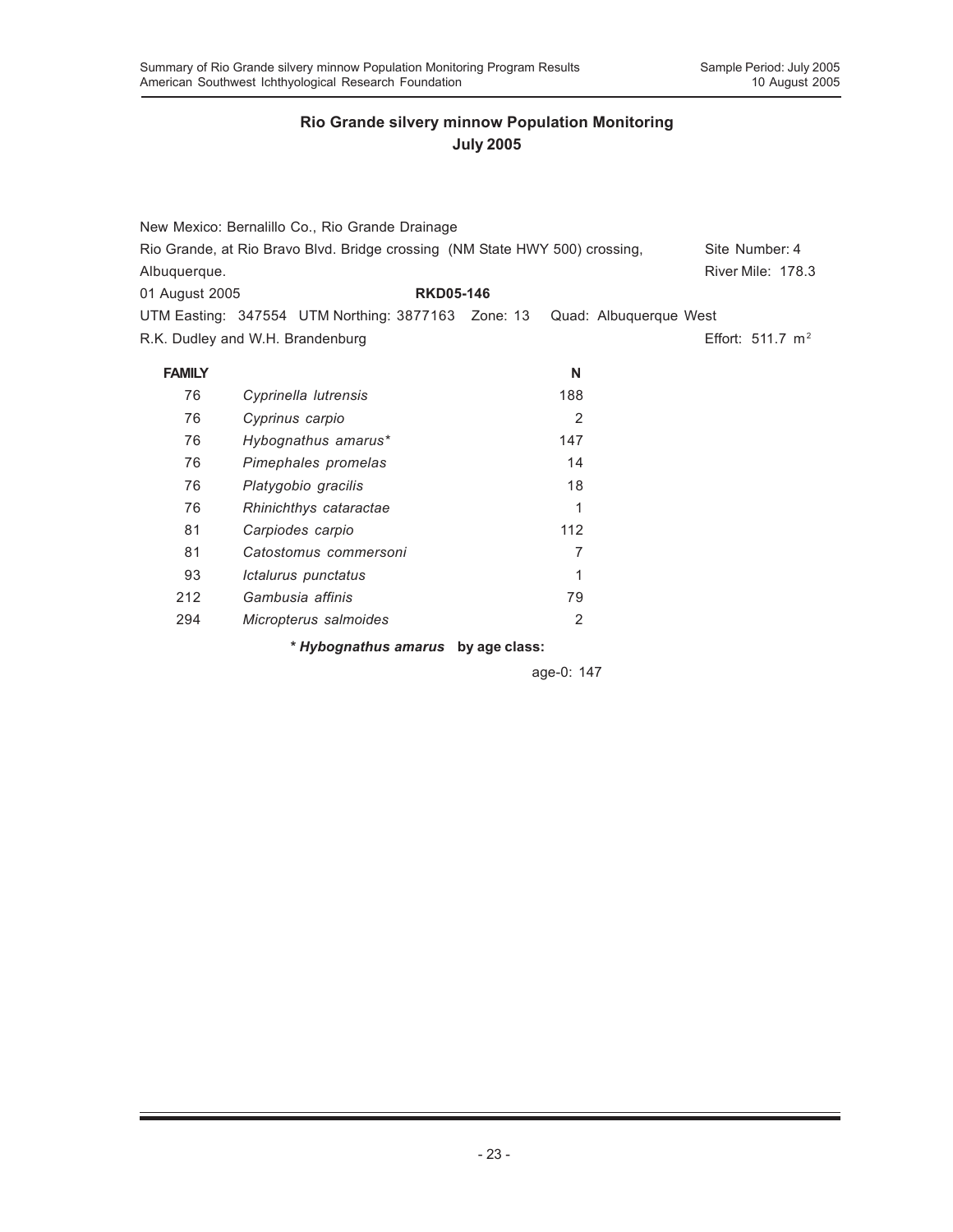| Albuquerque.<br>01 August 2005 | New Mexico: Bernalillo Co., Rio Grande Drainage<br>Rio Grande, at Rio Bravo Blvd. Bridge crossing (NM State HWY 500) crossing,<br><b>RKD05-146</b><br>UTM Easting: 347554 UTM Northing: 3877163 Zone: 13 Quad: Albuquerque West |     |                | Site Number: 4<br><b>River Mile: 178.3</b> |
|--------------------------------|---------------------------------------------------------------------------------------------------------------------------------------------------------------------------------------------------------------------------------|-----|----------------|--------------------------------------------|
|                                | R.K. Dudley and W.H. Brandenburg                                                                                                                                                                                                |     |                | Effort: $511.7 \text{ m}^2$                |
| <b>FAMILY</b>                  |                                                                                                                                                                                                                                 |     | N              |                                            |
| 76                             | Cyprinella lutrensis                                                                                                                                                                                                            | 188 |                |                                            |
| 76                             | Cyprinus carpio                                                                                                                                                                                                                 |     | 2              |                                            |
| 76                             | Hybognathus amarus*                                                                                                                                                                                                             | 147 |                |                                            |
| 76                             | Pimephales promelas                                                                                                                                                                                                             |     | 14             |                                            |
| 76                             | Platygobio gracilis                                                                                                                                                                                                             |     | 18             |                                            |
| 76                             | Rhinichthys cataractae                                                                                                                                                                                                          |     | 1              |                                            |
| 81                             | Carpiodes carpio                                                                                                                                                                                                                | 112 |                |                                            |
| 81                             | Catostomus commersoni                                                                                                                                                                                                           |     | 7              |                                            |
| 93                             | Ictalurus punctatus                                                                                                                                                                                                             |     | 1              |                                            |
| 212                            | Gambusia affinis                                                                                                                                                                                                                |     | 79             |                                            |
| 294                            | Micropterus salmoides                                                                                                                                                                                                           |     | $\overline{2}$ |                                            |
|                                | * Hybognathus amarus by age class:                                                                                                                                                                                              |     |                |                                            |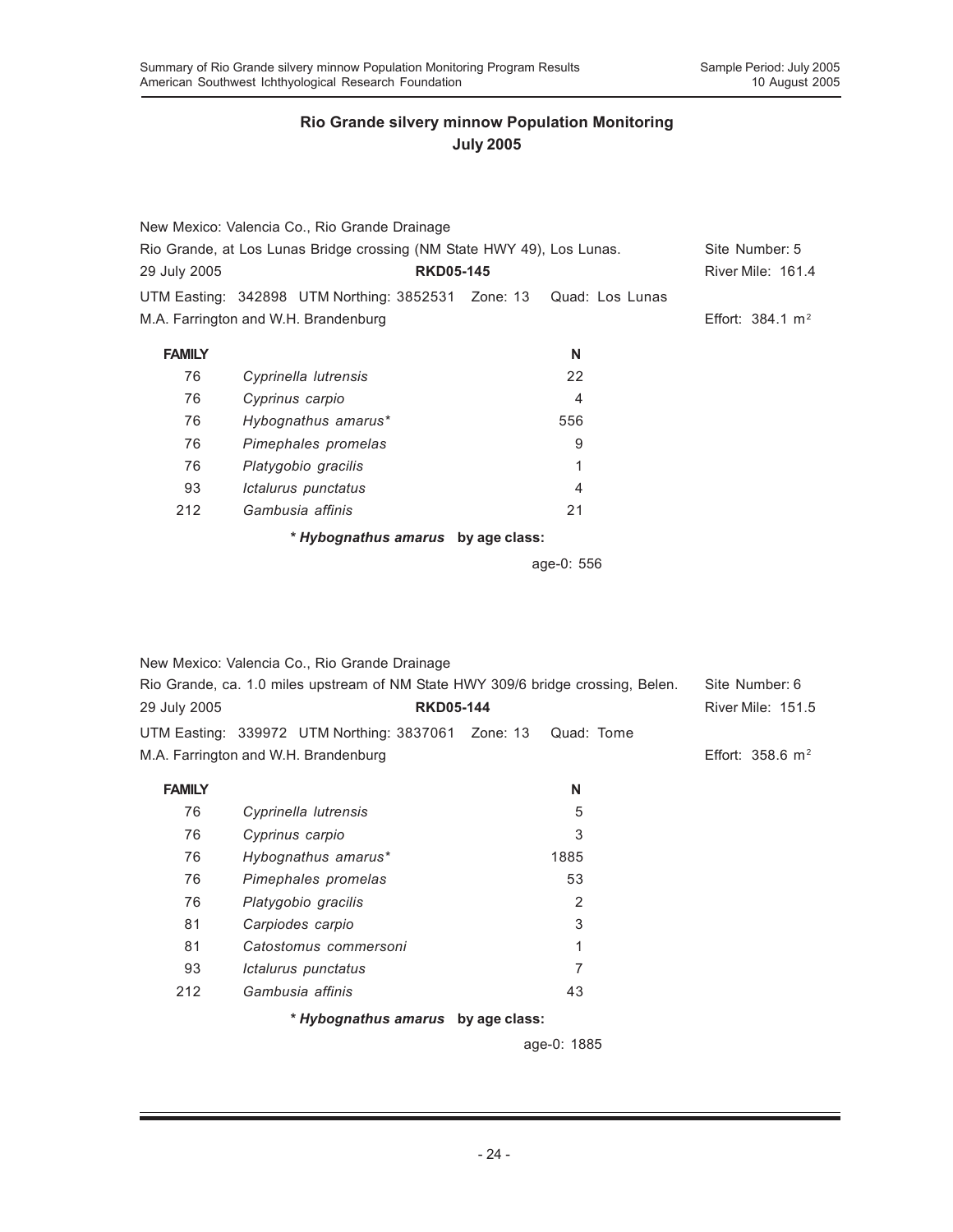|               | New Mexico: Valencia Co., Rio Grande Drainage                          |     |                             |
|---------------|------------------------------------------------------------------------|-----|-----------------------------|
|               | Rio Grande, at Los Lunas Bridge crossing (NM State HWY 49), Los Lunas. |     | Site Number: 5              |
| 29 July 2005  | <b>RKD05-145</b>                                                       |     | River Mile: 161.4           |
|               | UTM Easting: 342898 UTM Northing: 3852531 Zone: 13 Quad: Los Lunas     |     |                             |
|               | M.A. Farrington and W.H. Brandenburg                                   |     | Effort: $384.1 \text{ m}^2$ |
| <b>FAMILY</b> |                                                                        | N   |                             |
| 76            | Cyprinella lutrensis                                                   | 22  |                             |
| 76            | Cyprinus carpio                                                        | 4   |                             |
| 76            | Hybognathus amarus*                                                    | 556 |                             |
| 76            | Pimephales promelas                                                    | 9   |                             |
| 76            | Platygobio gracilis                                                    | 1   |                             |
| 93            | Ictalurus punctatus                                                    | 4   |                             |
| 212           | Gambusia affinis                                                       | 21  |                             |
|               | * Hybognathus amarus by age class:                                     |     |                             |

age-0: 556

| Rio Grande, ca. 1.0 miles upstream of NM State HWY 309/6 bridge crossing, Belen.<br>Site Number: 6<br><b>RKD05-144</b><br><b>River Mile: 151.5</b><br>UTM Easting: 339972 UTM Northing: 3837061 Zone: 13<br>Quad: Tome<br>M.A. Farrington and W.H. Brandenburg<br>Effort: $358.6 \text{ m}^2$<br><b>FAMILY</b><br>N<br>76<br>5<br>Cyprinella lutrensis<br>3<br>76<br>Cyprinus carpio<br>76<br>Hybognathus amarus*<br>1885<br>53<br>76<br>Pimephales promelas<br>2<br>76<br>Platygobio gracilis<br>3<br>81<br>Carpiodes carpio<br>81<br>1<br>Catostomus commersoni<br>7<br>93<br>Ictalurus punctatus<br>43<br>212<br>Gambusia affinis<br>* Hybognathus amarus by age class: |              | New Mexico: Valencia Co., Rio Grande Drainage |  |
|----------------------------------------------------------------------------------------------------------------------------------------------------------------------------------------------------------------------------------------------------------------------------------------------------------------------------------------------------------------------------------------------------------------------------------------------------------------------------------------------------------------------------------------------------------------------------------------------------------------------------------------------------------------------------|--------------|-----------------------------------------------|--|
|                                                                                                                                                                                                                                                                                                                                                                                                                                                                                                                                                                                                                                                                            |              |                                               |  |
|                                                                                                                                                                                                                                                                                                                                                                                                                                                                                                                                                                                                                                                                            | 29 July 2005 |                                               |  |
|                                                                                                                                                                                                                                                                                                                                                                                                                                                                                                                                                                                                                                                                            |              |                                               |  |
|                                                                                                                                                                                                                                                                                                                                                                                                                                                                                                                                                                                                                                                                            |              |                                               |  |
|                                                                                                                                                                                                                                                                                                                                                                                                                                                                                                                                                                                                                                                                            |              |                                               |  |
|                                                                                                                                                                                                                                                                                                                                                                                                                                                                                                                                                                                                                                                                            |              |                                               |  |
|                                                                                                                                                                                                                                                                                                                                                                                                                                                                                                                                                                                                                                                                            |              |                                               |  |
|                                                                                                                                                                                                                                                                                                                                                                                                                                                                                                                                                                                                                                                                            |              |                                               |  |
|                                                                                                                                                                                                                                                                                                                                                                                                                                                                                                                                                                                                                                                                            |              |                                               |  |
|                                                                                                                                                                                                                                                                                                                                                                                                                                                                                                                                                                                                                                                                            |              |                                               |  |
|                                                                                                                                                                                                                                                                                                                                                                                                                                                                                                                                                                                                                                                                            |              |                                               |  |
|                                                                                                                                                                                                                                                                                                                                                                                                                                                                                                                                                                                                                                                                            |              |                                               |  |
|                                                                                                                                                                                                                                                                                                                                                                                                                                                                                                                                                                                                                                                                            |              |                                               |  |
|                                                                                                                                                                                                                                                                                                                                                                                                                                                                                                                                                                                                                                                                            |              |                                               |  |
|                                                                                                                                                                                                                                                                                                                                                                                                                                                                                                                                                                                                                                                                            |              |                                               |  |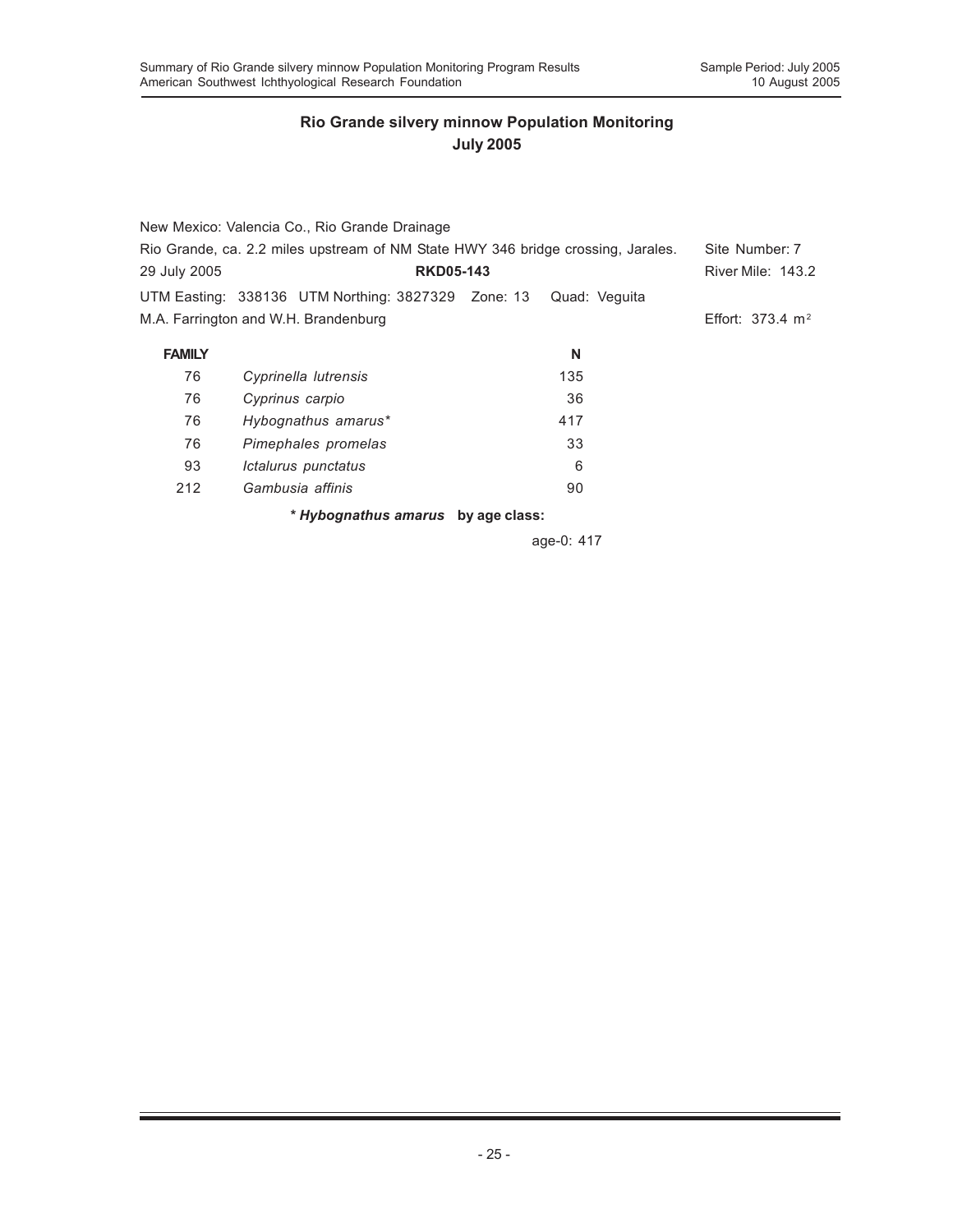|               | New Mexico: Valencia Co., Rio Grande Drainage                                    |               |                             |
|---------------|----------------------------------------------------------------------------------|---------------|-----------------------------|
|               | Rio Grande, ca. 2.2 miles upstream of NM State HWY 346 bridge crossing, Jarales. |               | Site Number: 7              |
| 29 July 2005  | <b>RKD05-143</b>                                                                 |               | River Mile: 143.2           |
|               | UTM Easting: 338136 UTM Northing: 3827329 Zone: 13                               | Quad: Veguita |                             |
|               | M.A. Farrington and W.H. Brandenburg                                             |               | Effort: $373.4 \text{ m}^2$ |
| <b>FAMILY</b> |                                                                                  | N             |                             |
| 76            | Cyprinella lutrensis                                                             | 135           |                             |
| 76            | Cyprinus carpio                                                                  | 36            |                             |
| 76            | Hybognathus amarus*                                                              | 417           |                             |
| 76            | Pimephales promelas                                                              | 33            |                             |
| 93            | Ictalurus punctatus                                                              | 6             |                             |
| 212           | Gambusia affinis                                                                 | 90            |                             |
|               | * Hybognathus amarus by age class:                                               |               |                             |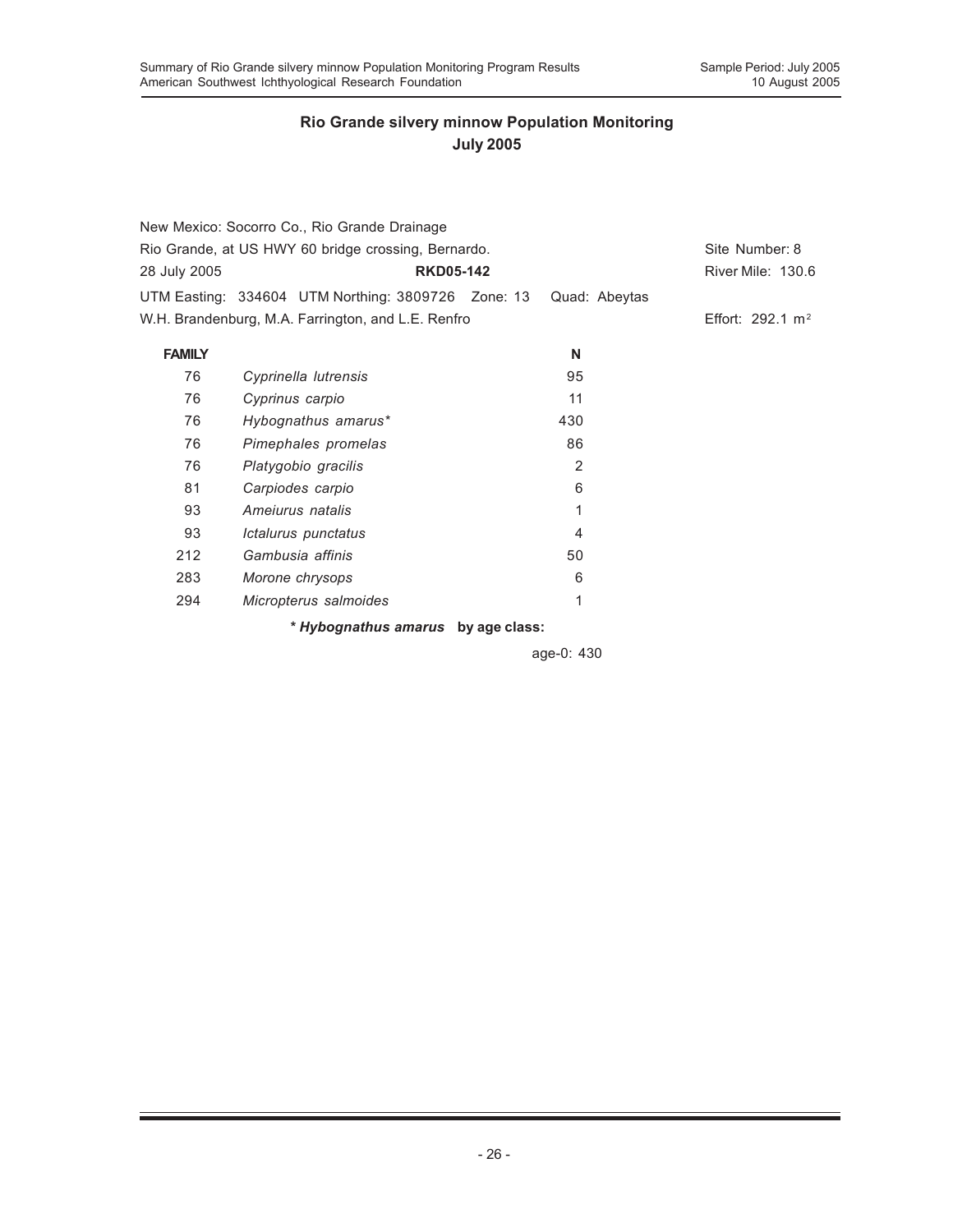|               | New Mexico: Socorro Co., Rio Grande Drainage        |                |                     |
|---------------|-----------------------------------------------------|----------------|---------------------|
|               | Rio Grande, at US HWY 60 bridge crossing, Bernardo. |                |                     |
| 28 July 2005  | <b>RKD05-142</b>                                    |                | River Mile: 130.6   |
|               | UTM Easting: 334604 UTM Northing: 3809726 Zone: 13  | Quad: Abeytas  |                     |
|               | W.H. Brandenburg, M.A. Farrington, and L.E. Renfro  |                | Effort: 292.1 $m^2$ |
| <b>FAMILY</b> |                                                     | N              |                     |
| 76            | Cyprinella lutrensis                                | 95             |                     |
| 76            | Cyprinus carpio                                     | 11             |                     |
| 76            | Hybognathus amarus*                                 | 430            |                     |
| 76            | Pimephales promelas                                 | 86             |                     |
| 76            | Platygobio gracilis                                 | $\overline{2}$ |                     |
| 81            | Carpiodes carpio                                    | 6              |                     |
| 93            | Ameiurus natalis                                    | 1              |                     |
| 93            | Ictalurus punctatus                                 | $\overline{4}$ |                     |
| 212           | Gambusia affinis                                    | 50             |                     |
| 283           | Morone chrysops                                     | 6              |                     |
| 294           | Micropterus salmoides                               | 1              |                     |

*\* Hybognathus amarus* **by age class:**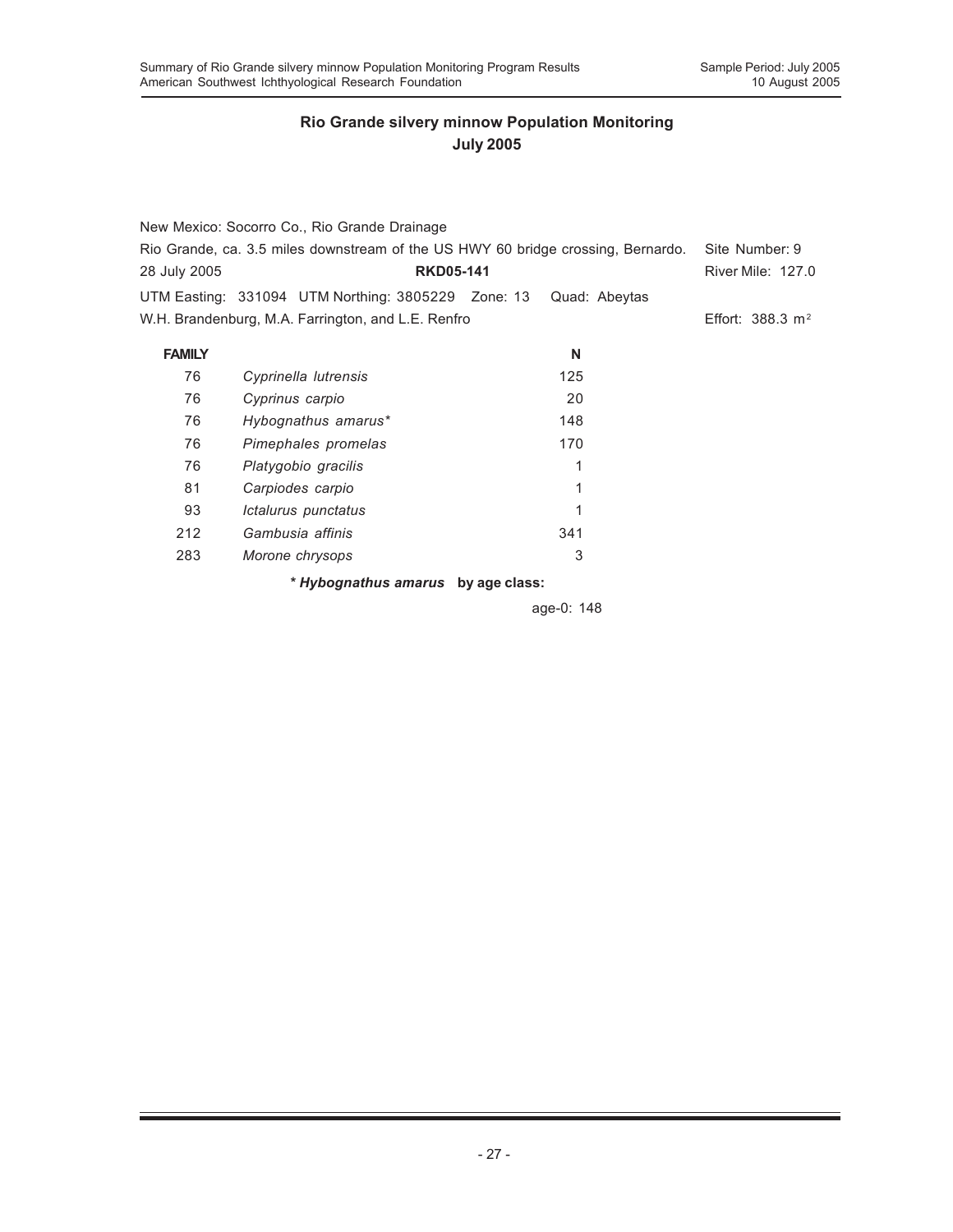|               | New Mexico: Socorro Co., Rio Grande Drainage                                     |               |                          |
|---------------|----------------------------------------------------------------------------------|---------------|--------------------------|
|               | Rio Grande, ca. 3.5 miles downstream of the US HWY 60 bridge crossing, Bernardo. |               |                          |
| 28 July 2005  | <b>RKD05-141</b>                                                                 |               | <b>River Mile: 127.0</b> |
|               | UTM Easting: 331094 UTM Northing: 3805229 Zone: 13                               | Quad: Abeytas |                          |
|               | W.H. Brandenburg, M.A. Farrington, and L.E. Renfro                               |               | Effort: 388.3 $m^2$      |
| <b>FAMILY</b> |                                                                                  | N             |                          |
| 76            | Cyprinella lutrensis                                                             | 125           |                          |
| 76            | Cyprinus carpio                                                                  | 20            |                          |
| 76            | Hybognathus amarus*                                                              | 148           |                          |
| 76            | Pimephales promelas                                                              | 170           |                          |
| 76            | Platygobio gracilis                                                              | 1             |                          |
| 81            | Carpiodes carpio                                                                 | 1             |                          |
| 93            | Ictalurus punctatus                                                              |               |                          |
| 212           | Gambusia affinis                                                                 | 341           |                          |
| 283           | Morone chrysops                                                                  | 3             |                          |
|               | * Hybognathus amarus by age class:                                               |               |                          |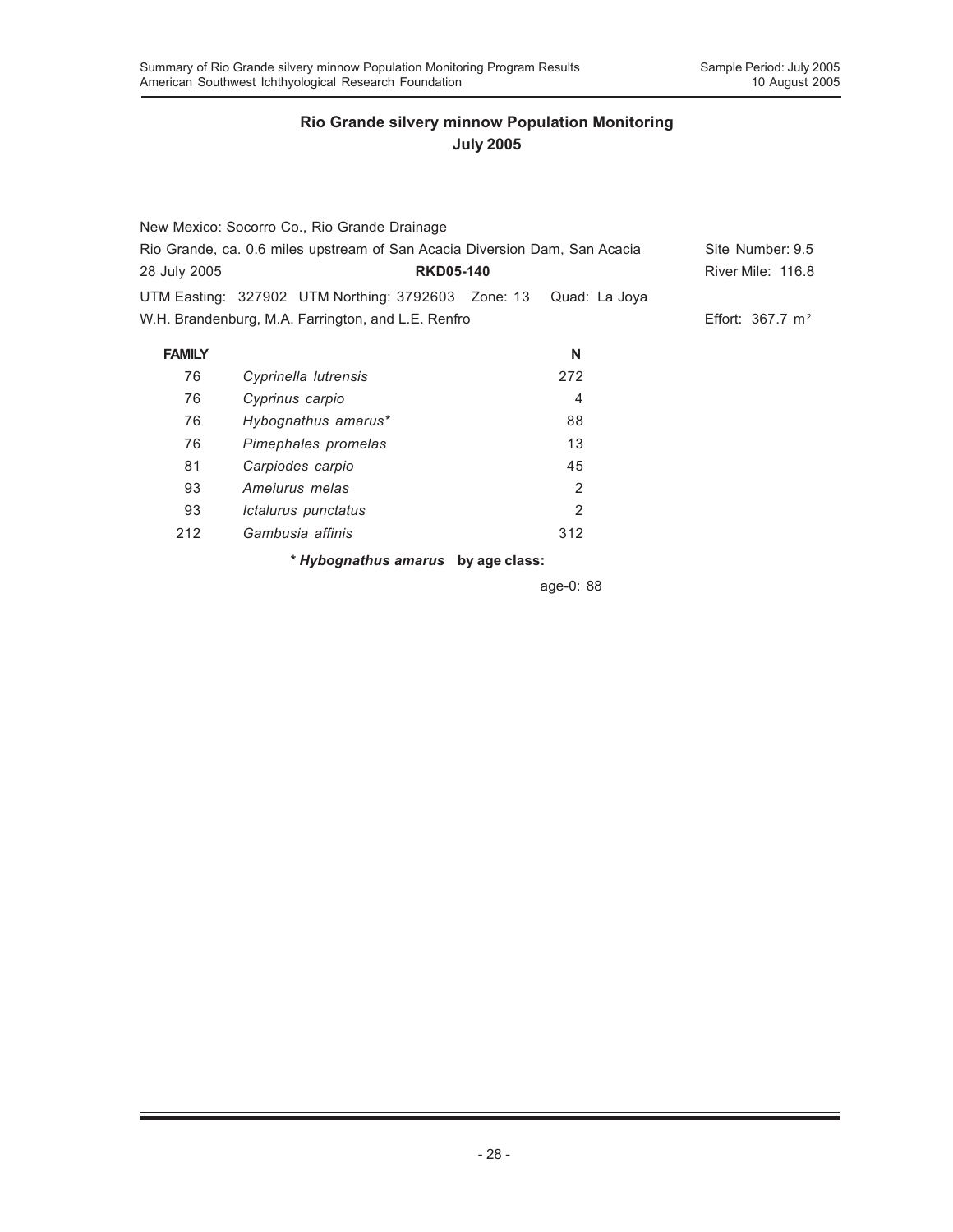|               | New Mexico: Socorro Co., Rio Grande Drainage                               |     |                |                             |
|---------------|----------------------------------------------------------------------------|-----|----------------|-----------------------------|
|               | Rio Grande, ca. 0.6 miles upstream of San Acacia Diversion Dam, San Acacia |     |                | Site Number: 9.5            |
| 28 July 2005  | <b>RKD05-140</b>                                                           |     |                | River Mile: 116.8           |
|               | UTM Easting: 327902 UTM Northing: 3792603 Zone: 13                         |     | Quad: La Joya  |                             |
|               | W.H. Brandenburg, M.A. Farrington, and L.E. Renfro                         |     |                | Effort: $367.7 \text{ m}^2$ |
| <b>FAMILY</b> |                                                                            |     | N              |                             |
| 76            | Cyprinella lutrensis                                                       | 272 |                |                             |
| 76            | Cyprinus carpio                                                            |     | $\overline{4}$ |                             |
| 76            | Hybognathus amarus*                                                        | 88  |                |                             |
| 76            | Pimephales promelas                                                        |     | 13             |                             |
| 81            | Carpiodes carpio                                                           | 45  |                |                             |
| 93            | Ameiurus melas                                                             |     | 2              |                             |
| 93            | Ictalurus punctatus                                                        |     | $\mathbf{2}$   |                             |
| 212           | Gambusia affinis                                                           | 312 |                |                             |
|               | * Hybognathus amarus by age class:                                         |     |                |                             |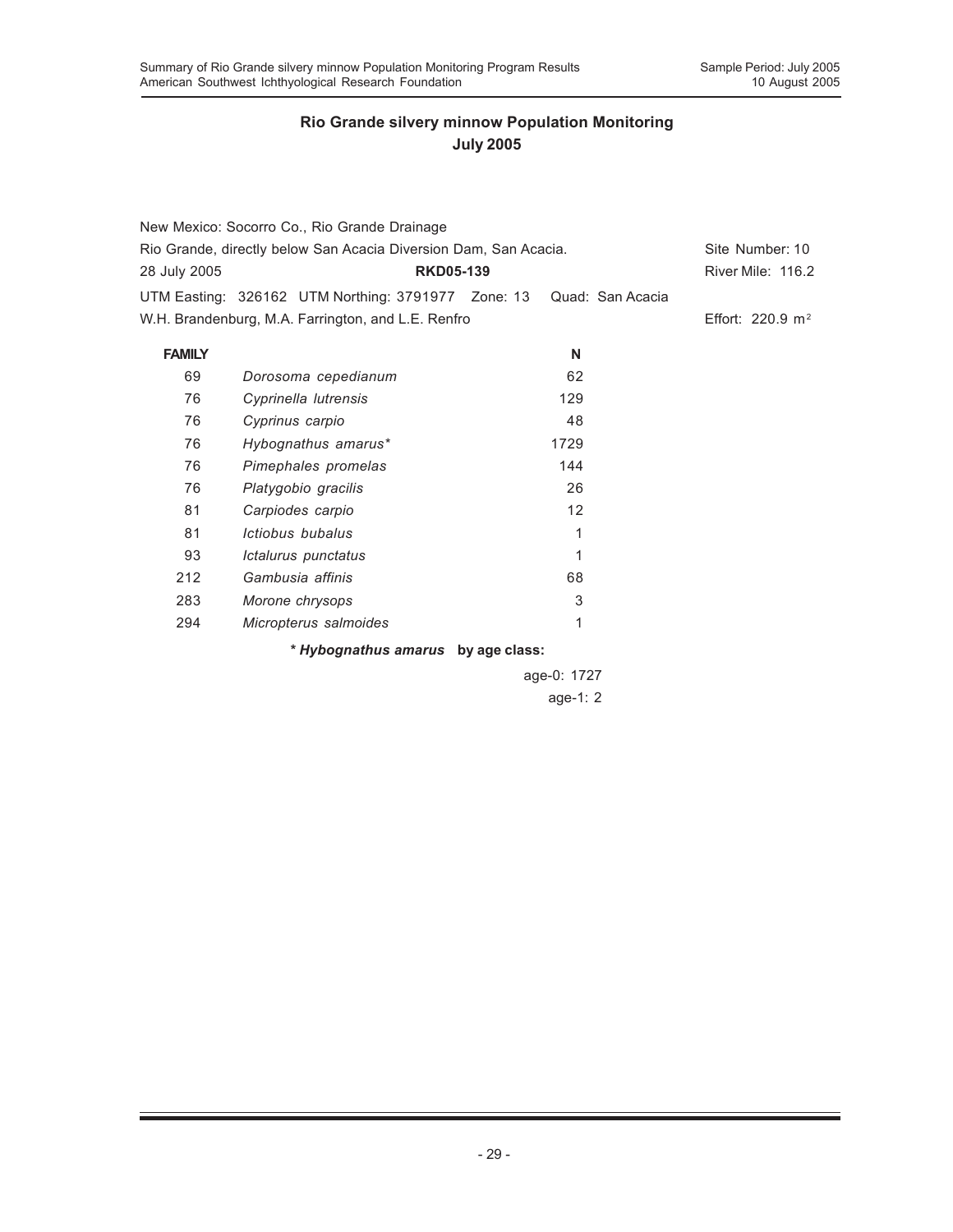|                                                                  | New Mexico: Socorro Co., Rio Grande Drainage       |  |                  |                     |
|------------------------------------------------------------------|----------------------------------------------------|--|------------------|---------------------|
| Rio Grande, directly below San Acacia Diversion Dam, San Acacia. |                                                    |  | Site Number: 10  |                     |
| 28 July 2005                                                     | <b>RKD05-139</b>                                   |  |                  | River Mile: 116.2   |
|                                                                  | UTM Easting: 326162 UTM Northing: 3791977 Zone: 13 |  | Quad: San Acacia |                     |
|                                                                  | W.H. Brandenburg, M.A. Farrington, and L.E. Renfro |  |                  | Effort: 220.9 $m^2$ |
| <b>FAMILY</b>                                                    |                                                    |  | N                |                     |
| 69                                                               | Dorosoma cepedianum                                |  | 62               |                     |
| 76                                                               | Cyprinella lutrensis                               |  | 129              |                     |
| 76                                                               | Cyprinus carpio                                    |  | 48               |                     |
| 76                                                               | Hybognathus amarus*                                |  | 1729             |                     |
| 76                                                               | Pimephales promelas                                |  | 144              |                     |
| 76                                                               | Platygobio gracilis                                |  | 26               |                     |
| 81                                                               | Carpiodes carpio                                   |  | 12               |                     |
| 81                                                               | Ictiobus bubalus                                   |  | 1                |                     |
| 93                                                               | Ictalurus punctatus                                |  | 1                |                     |
| 212                                                              | Gambusia affinis                                   |  | 68               |                     |
| 283                                                              | Morone chrysops                                    |  | 3                |                     |
| 294                                                              | Micropterus salmoides                              |  | 1                |                     |
|                                                                  | * Hybognathus amarus by age class:                 |  |                  |                     |
|                                                                  |                                                    |  | age-0: 1727      |                     |
|                                                                  |                                                    |  | age-1: $2$       |                     |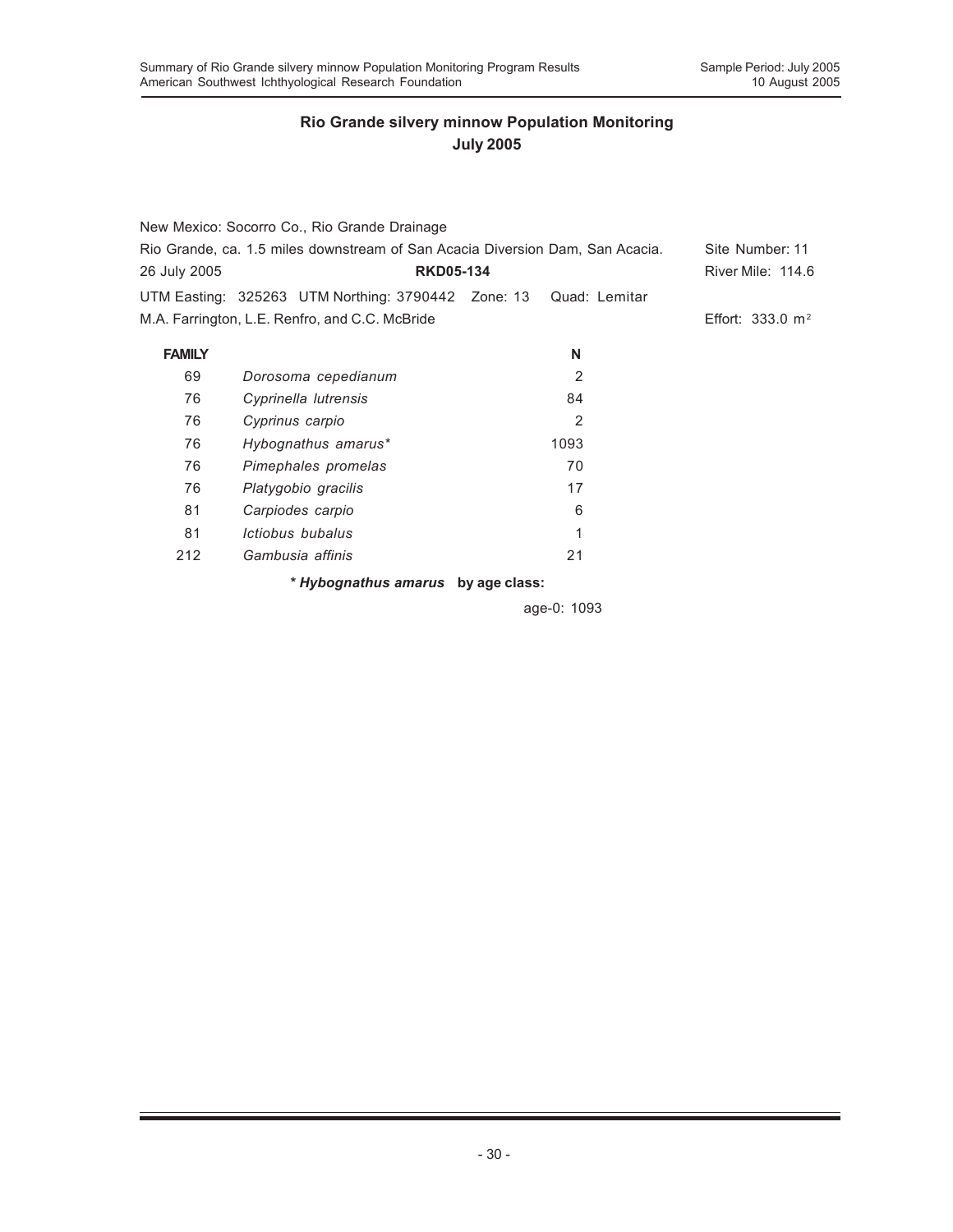|               | New Mexico: Socorro Co., Rio Grande Drainage                                  |               |                             |
|---------------|-------------------------------------------------------------------------------|---------------|-----------------------------|
|               | Rio Grande, ca. 1.5 miles downstream of San Acacia Diversion Dam, San Acacia. |               |                             |
| 26 July 2005  | <b>RKD05-134</b>                                                              |               | <b>River Mile: 114.6</b>    |
|               | UTM Easting: 325263 UTM Northing: 3790442 Zone: 13                            | Quad: Lemitar |                             |
|               | M.A. Farrington, L.E. Renfro, and C.C. McBride                                |               | Effort: $333.0 \text{ m}^2$ |
| <b>FAMILY</b> |                                                                               | N             |                             |
| 69            | Dorosoma cepedianum                                                           | 2             |                             |
| 76            | Cyprinella lutrensis                                                          | 84            |                             |
| 76            | Cyprinus carpio                                                               | 2             |                             |
| 76            | Hybognathus amarus*                                                           | 1093          |                             |
| 76            | Pimephales promelas                                                           | 70            |                             |
| 76            | Platygobio gracilis                                                           | 17            |                             |
| 81            | Carpiodes carpio                                                              | 6             |                             |
| 81            | Ictiobus bubalus                                                              | 1             |                             |
| 212           | Gambusia affinis                                                              | 21            |                             |
|               | * Hybognathus amarus by age class:                                            |               |                             |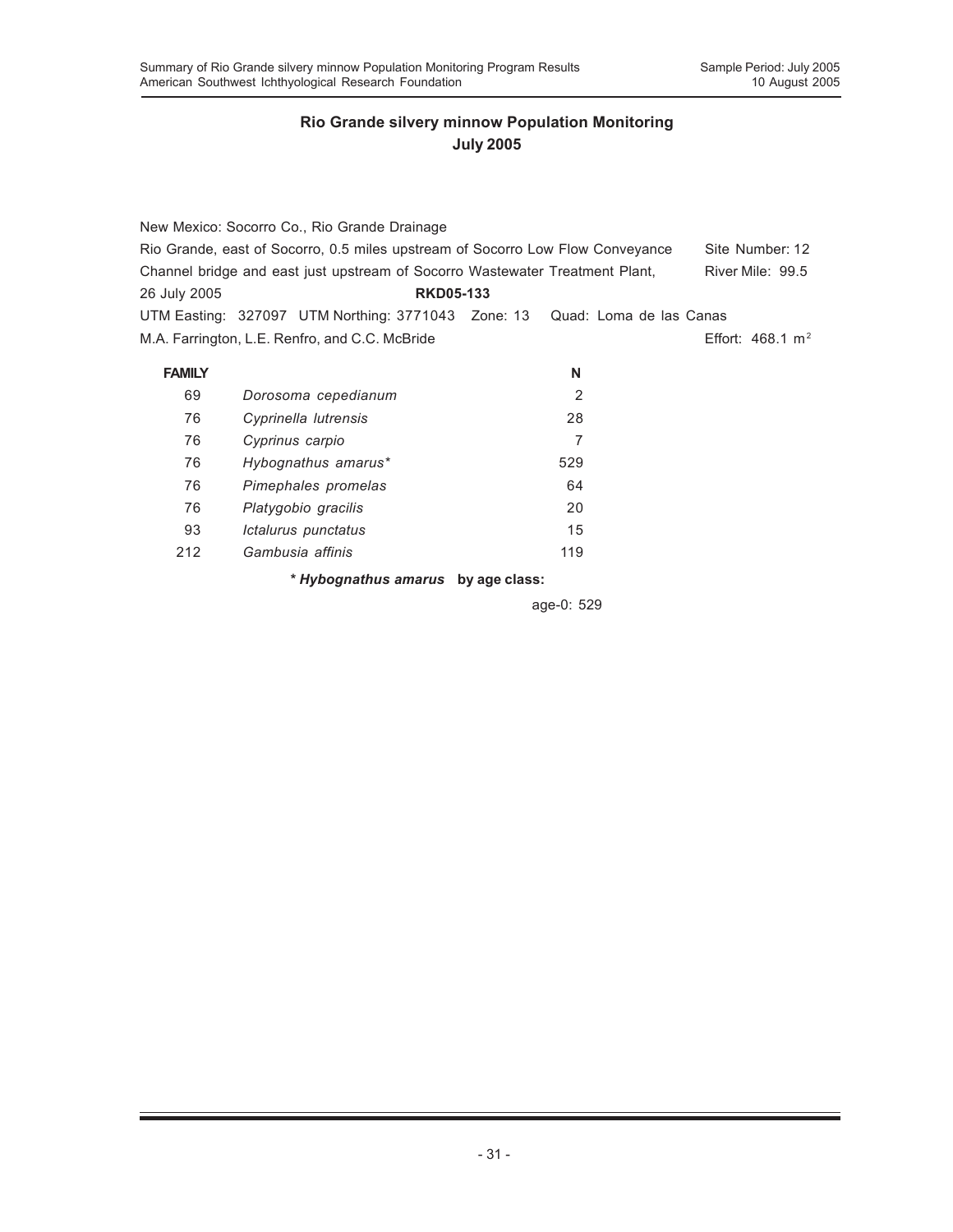|               | New Mexico: Socorro Co., Rio Grande Drainage                                   |                |                             |
|---------------|--------------------------------------------------------------------------------|----------------|-----------------------------|
|               | Rio Grande, east of Socorro, 0.5 miles upstream of Socorro Low Flow Conveyance |                | Site Number: 12             |
|               | Channel bridge and east just upstream of Socorro Wastewater Treatment Plant,   |                | River Mile: 99.5            |
| 26 July 2005  | <b>RKD05-133</b>                                                               |                |                             |
|               | UTM Easting: 327097 UTM Northing: 3771043 Zone: 13 Quad: Loma de las Canas     |                |                             |
|               | M.A. Farrington, L.E. Renfro, and C.C. McBride                                 |                | Effort: $468.1 \text{ m}^2$ |
|               |                                                                                |                |                             |
| <b>FAMILY</b> |                                                                                | N              |                             |
| 69            | Dorosoma cepedianum                                                            | $\overline{2}$ |                             |
| 76            | Cyprinella lutrensis                                                           | 28             |                             |
| 76            | Cyprinus carpio                                                                | 7              |                             |
| 76            | Hybognathus amarus*                                                            | 529            |                             |
| 76            | Pimephales promelas                                                            | 64             |                             |
| 76            | Platygobio gracilis                                                            | 20             |                             |
| 93            | Ictalurus punctatus                                                            | 15             |                             |
| 212           | Gambusia affinis                                                               | 119            |                             |
|               | * Hybognathus amarus by age class:                                             |                |                             |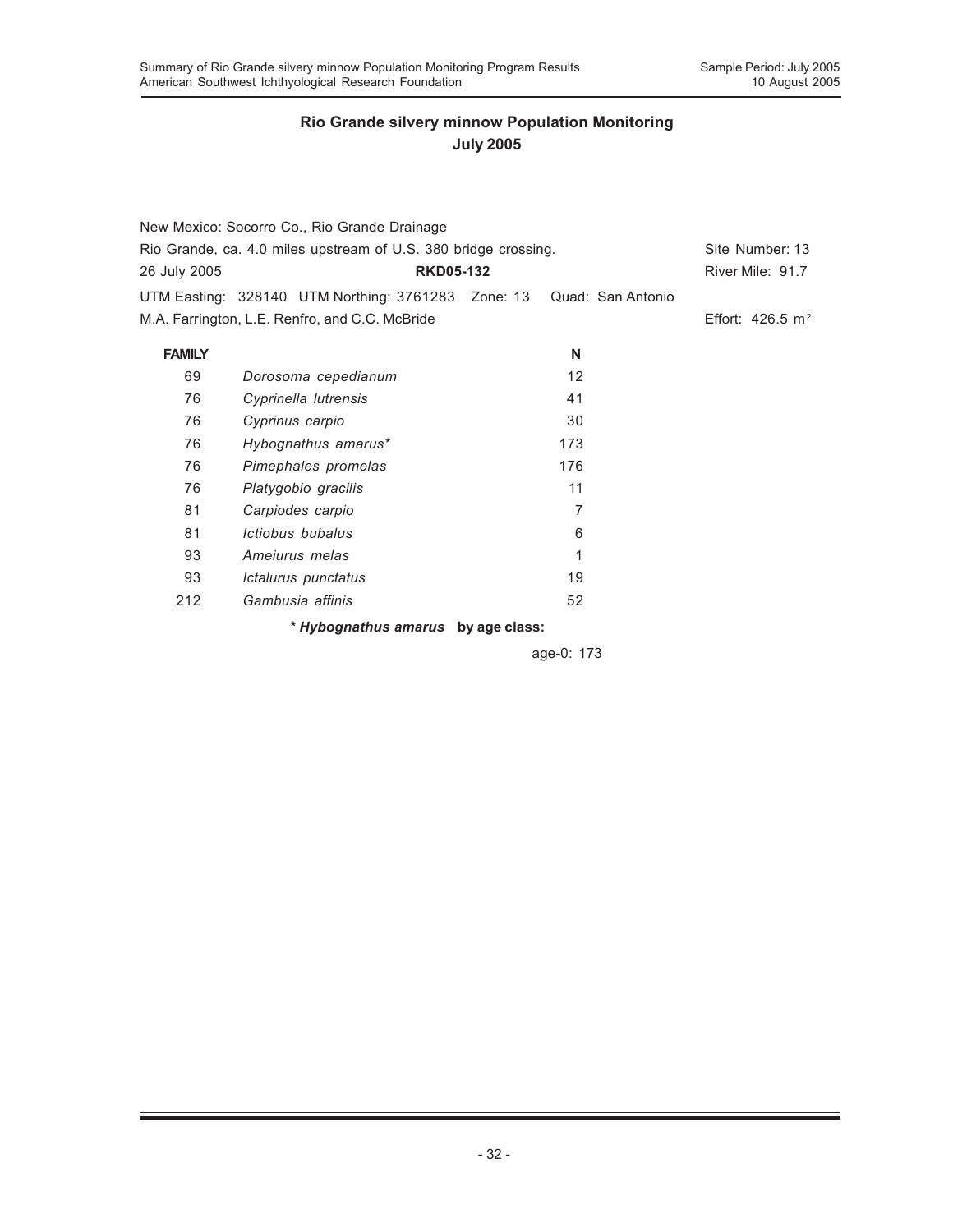|               | New Mexico: Socorro Co., Rio Grande Drainage                         |     |                             |
|---------------|----------------------------------------------------------------------|-----|-----------------------------|
|               | Rio Grande, ca. 4.0 miles upstream of U.S. 380 bridge crossing.      |     | Site Number: 13             |
| 26 July 2005  | <b>RKD05-132</b>                                                     |     | River Mile: 91.7            |
|               | UTM Easting: 328140 UTM Northing: 3761283 Zone: 13 Quad: San Antonio |     |                             |
|               | M.A. Farrington, L.E. Renfro, and C.C. McBride                       |     | Effort: $426.5 \text{ m}^2$ |
| <b>FAMILY</b> |                                                                      | N   |                             |
| 69            | Dorosoma cepedianum                                                  | 12  |                             |
| 76            | Cyprinella lutrensis                                                 | 41  |                             |
| 76            | Cyprinus carpio                                                      | 30  |                             |
| 76            | Hybognathus amarus*                                                  | 173 |                             |
| 76            | Pimephales promelas                                                  | 176 |                             |
| 76            | Platygobio gracilis                                                  | 11  |                             |
| 81            | Carpiodes carpio                                                     | 7   |                             |
| 81            | Ictiobus bubalus                                                     | 6   |                             |
| 93            | Ameiurus melas                                                       | 1   |                             |
| 93            | Ictalurus punctatus                                                  | 19  |                             |
| 212           | Gambusia affinis                                                     | 52  |                             |

*\* Hybognathus amarus* **by age class:**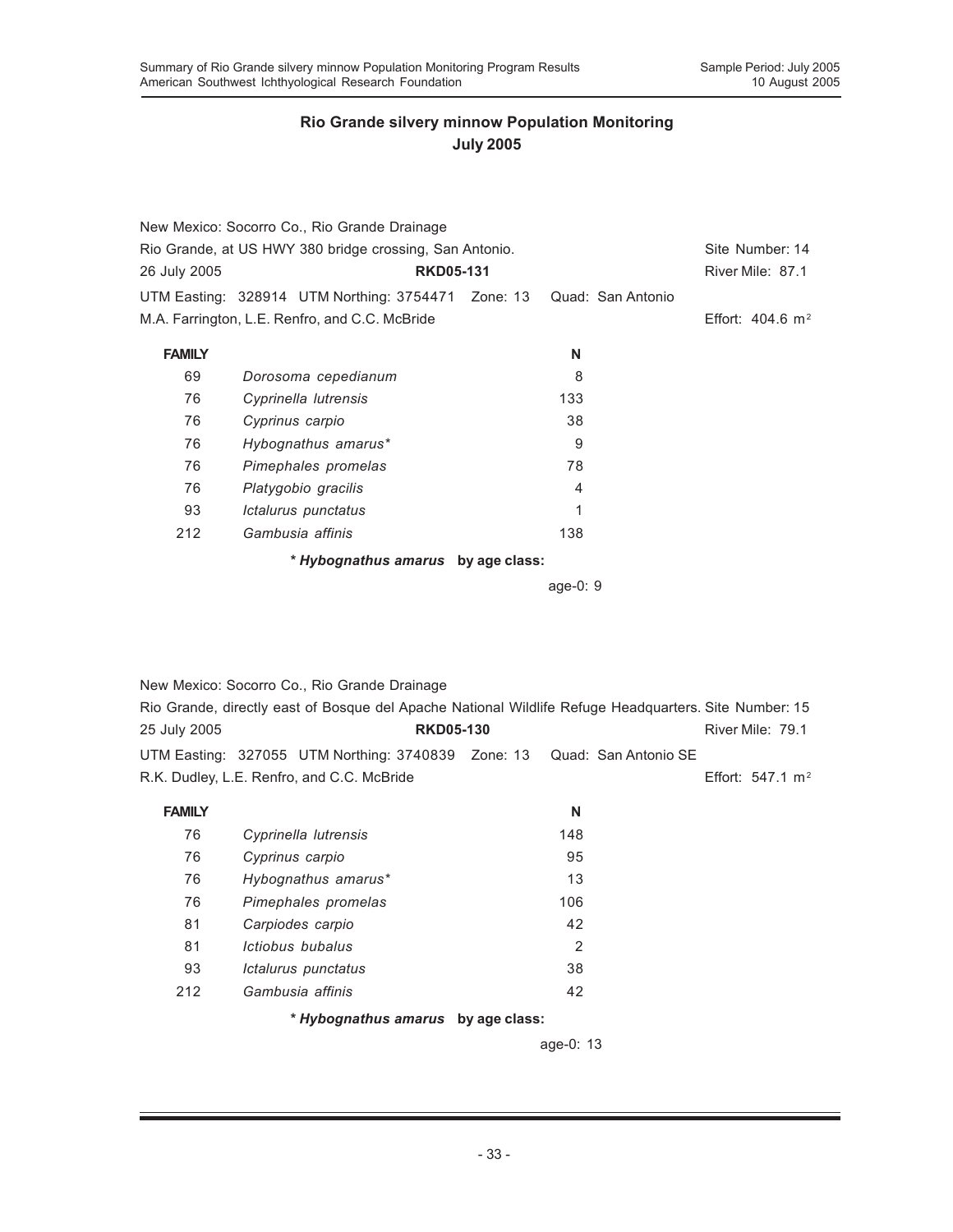|               | New Mexico: Socorro Co., Rio Grande Drainage                         |                |                             |  |
|---------------|----------------------------------------------------------------------|----------------|-----------------------------|--|
|               | Rio Grande, at US HWY 380 bridge crossing, San Antonio.              |                | Site Number: 14             |  |
| 26 July 2005  | <b>RKD05-131</b>                                                     |                | River Mile: 87.1            |  |
|               | UTM Easting: 328914 UTM Northing: 3754471 Zone: 13 Quad: San Antonio |                |                             |  |
|               | M.A. Farrington, L.E. Renfro, and C.C. McBride                       |                | Effort: $404.6 \text{ m}^2$ |  |
| <b>FAMILY</b> |                                                                      | N              |                             |  |
| 69            | Dorosoma cepedianum                                                  | 8              |                             |  |
| 76            | Cyprinella lutrensis                                                 | 133            |                             |  |
| 76            | Cyprinus carpio                                                      | 38             |                             |  |
| 76            | Hybognathus amarus*                                                  | 9              |                             |  |
| 76            | Pimephales promelas                                                  | 78             |                             |  |
| 76            | Platygobio gracilis                                                  | $\overline{4}$ |                             |  |
| 93            | Ictalurus punctatus                                                  | 1              |                             |  |
| 212           | Gambusia affinis                                                     | 138            |                             |  |
|               | * Hybognathus amarus by age class:                                   |                |                             |  |

age-0: 9

New Mexico: Socorro Co., Rio Grande Drainage

|                                            | Rio Grande, directly east of Bosque del Apache National Wildlife Refuge Headquarters. Site Number: 15 |  |                     |  |
|--------------------------------------------|-------------------------------------------------------------------------------------------------------|--|---------------------|--|
| 25 July 2005                               | <b>RKD05-130</b>                                                                                      |  | River Mile: 79.1    |  |
|                                            | UTM Easting: 327055 UTM Northing: 3740839 Zone: 13 Quad: San Antonio SE                               |  |                     |  |
| R.K. Dudley, L.E. Renfro, and C.C. McBride |                                                                                                       |  | Effort: 547.1 $m^2$ |  |

| <b>FAMILY</b> |                         | N   |  |
|---------------|-------------------------|-----|--|
| 76            | Cyprinella lutrensis    | 148 |  |
| 76            | Cyprinus carpio         | 95  |  |
| 76            | Hybognathus amarus*     | 13  |  |
| 76            | Pimephales promelas     | 106 |  |
| 81            | Carpiodes carpio        | 42  |  |
| 81            | <i>Ictiobus bubalus</i> | 2   |  |
| 93            | Ictalurus punctatus     | 38  |  |
| 212           | Gambusia affinis        | 42  |  |
|               |                         |     |  |

*\* Hybognathus amarus* **by age class:**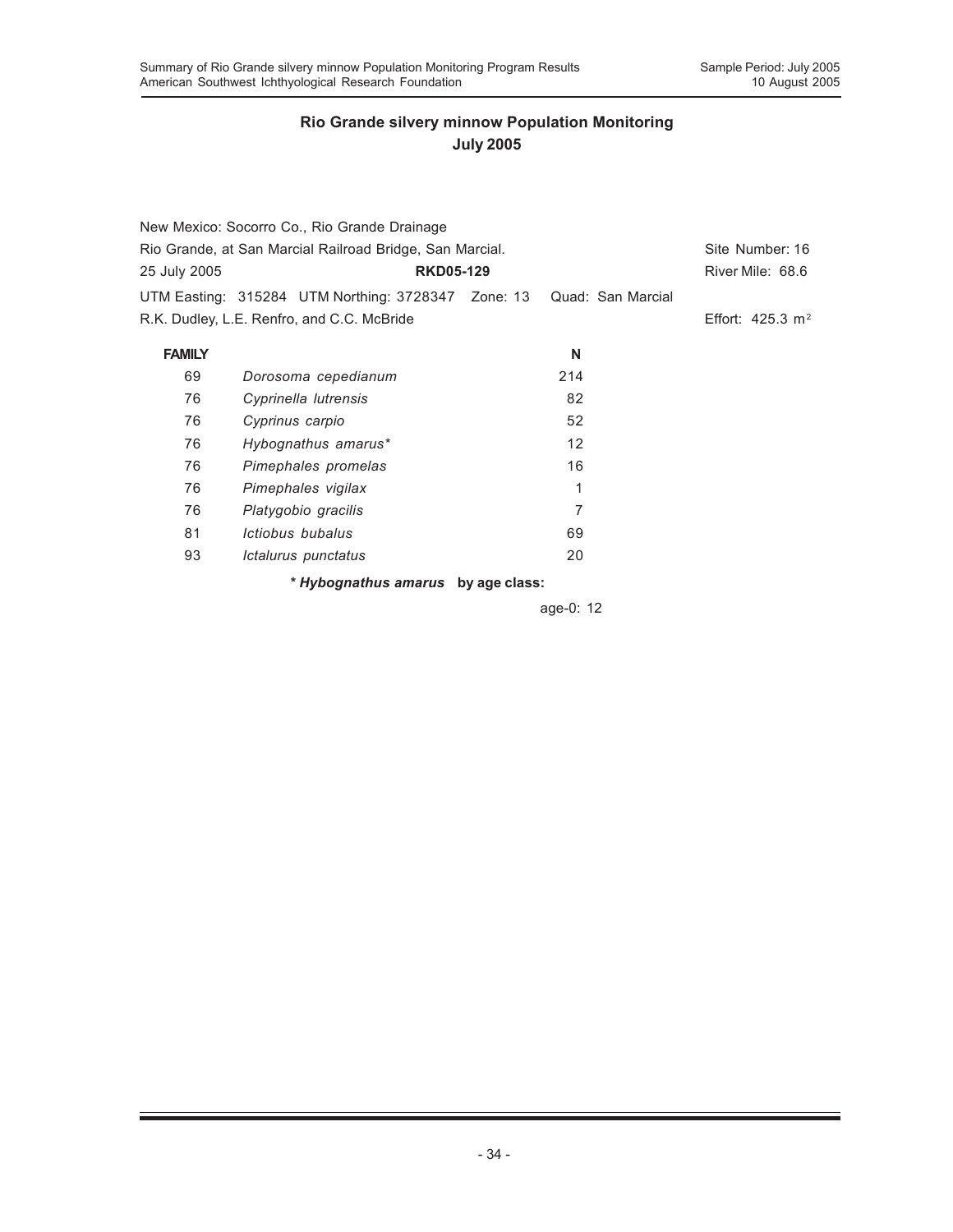| New Mexico: Socorro Co., Rio Grande Drainage             |                                                                      |                             |  |                  |  |  |  |  |  |
|----------------------------------------------------------|----------------------------------------------------------------------|-----------------------------|--|------------------|--|--|--|--|--|
| Rio Grande, at San Marcial Railroad Bridge, San Marcial. |                                                                      | Site Number: 16             |  |                  |  |  |  |  |  |
| <b>RKD05-129</b><br>25 July 2005                         |                                                                      |                             |  | River Mile: 68.6 |  |  |  |  |  |
|                                                          | UTM Easting: 315284 UTM Northing: 3728347 Zone: 13 Quad: San Marcial |                             |  |                  |  |  |  |  |  |
| R.K. Dudley, L.E. Renfro, and C.C. McBride               |                                                                      | Effort: $425.3 \text{ m}^2$ |  |                  |  |  |  |  |  |
| <b>FAMILY</b>                                            |                                                                      | N                           |  |                  |  |  |  |  |  |
| 69                                                       | Dorosoma cepedianum                                                  | 214                         |  |                  |  |  |  |  |  |
| 76                                                       | Cyprinella lutrensis                                                 | 82                          |  |                  |  |  |  |  |  |
| 76                                                       | Cyprinus carpio                                                      | 52                          |  |                  |  |  |  |  |  |
| 76                                                       | Hybognathus amarus*                                                  | 12                          |  |                  |  |  |  |  |  |
| 76                                                       | Pimephales promelas                                                  | 16                          |  |                  |  |  |  |  |  |
| 76                                                       | Pimephales vigilax                                                   | 1                           |  |                  |  |  |  |  |  |
| 76                                                       | Platygobio gracilis                                                  | 7                           |  |                  |  |  |  |  |  |
| 81                                                       | Ictiobus bubalus                                                     | 69                          |  |                  |  |  |  |  |  |
| 93                                                       | Ictalurus punctatus                                                  | 20                          |  |                  |  |  |  |  |  |
|                                                          | * Hybognathus amarus by age class:                                   |                             |  |                  |  |  |  |  |  |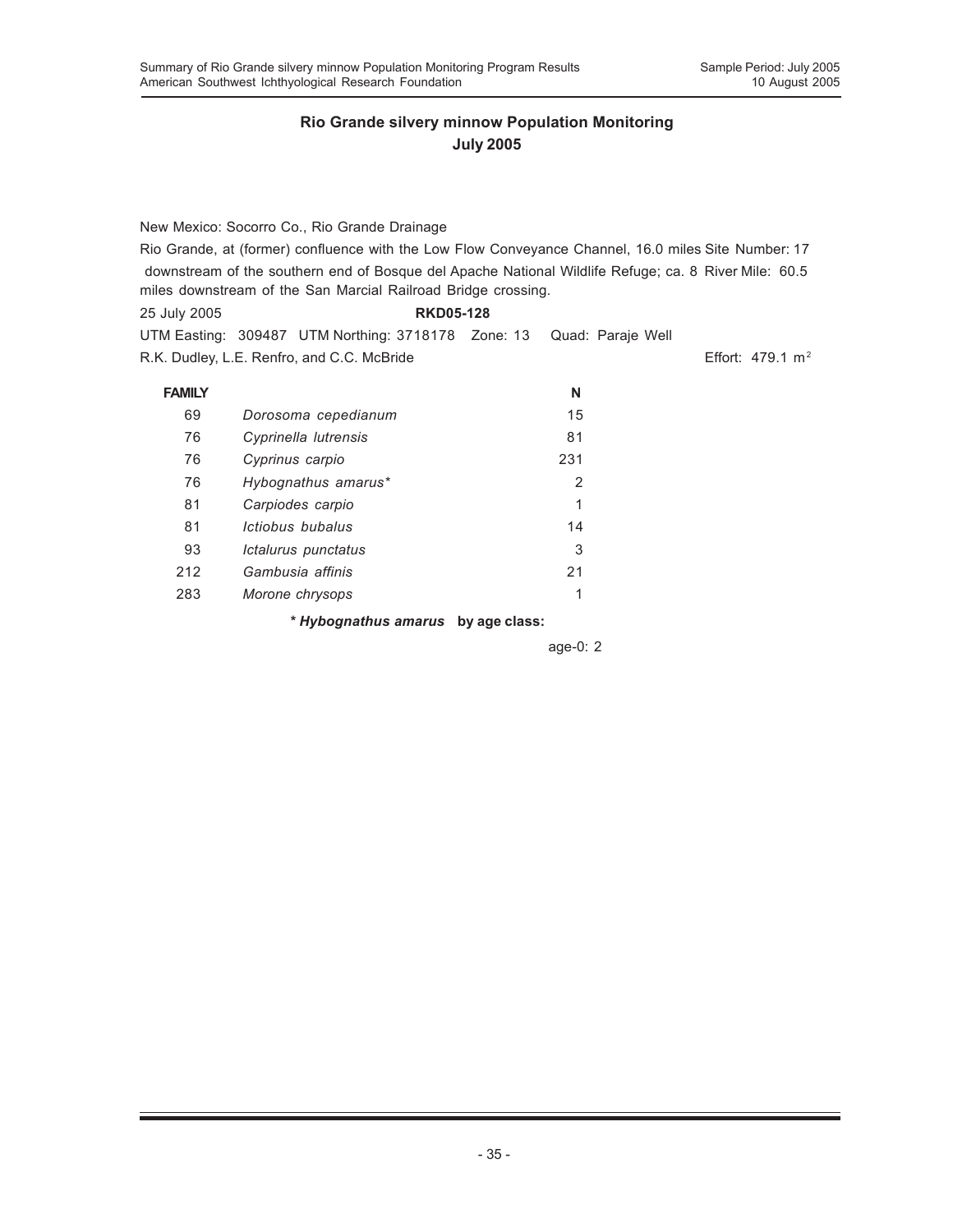New Mexico: Socorro Co., Rio Grande Drainage Rio Grande, at (former) confluence with the Low Flow Conveyance Channel, 16.0 miles Site Number: 17 downstream of the southern end of Bosque del Apache National Wildlife Refuge; ca. 8 River Mile: 60.5 miles downstream of the San Marcial Railroad Bridge crossing. 25 July 2005 **RKD05-128** UTM Easting: 309487 UTM Northing: 3718178 Zone: 13 Quad: Paraje Well R.K. Dudley, L.E. Renfro, and C.C. McBride Effort: 479.1 m<sup>2</sup> **FAMILY N** 69 *Dorosoma cepedianum* 15 76 *Cyprinella lutrensis* 81 76 *Cyprinus carpio* 231 76 *Hybognathus amarus\** 2 81 *Carpiodes carpio* 1 81 *Ictiobus bubalus* 14 93 *Ictalurus punctatus* 3

*\* Hybognathus amarus* **by age class:**

212 *Gambusia affinis* 21 283 *Morone chrysops* 1